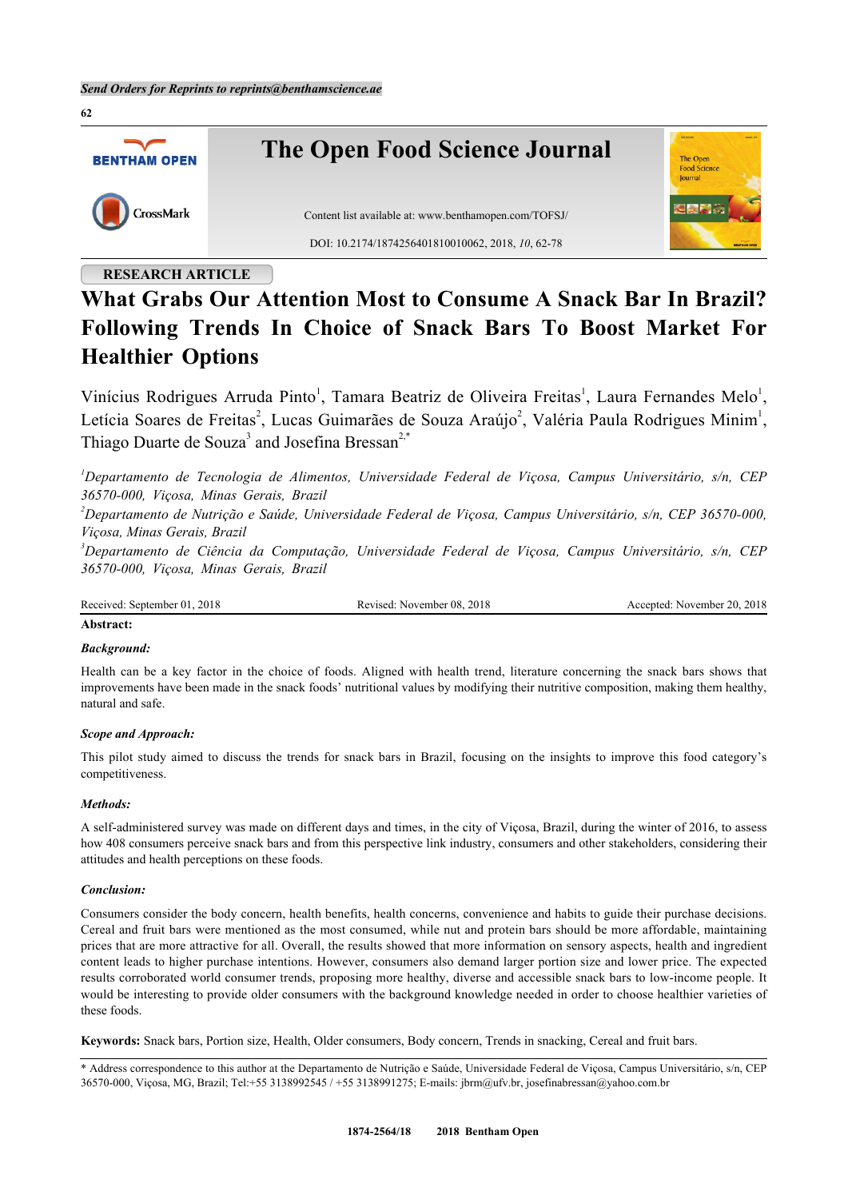

# **RESEARCH ARTICLE**

# **What Grabs Our Attention Most to Consume A Snack Bar In Brazil? Following Trends In Choice of Snack Bars To Boost Market For Healthier Options**

Vinícius Rodrigues Arruda Pinto<sup>[1](#page-0-0)</sup>, Tamara Beatriz de Oliveira Freitas<sup>1</sup>, Laura Fernandes Melo<sup>1</sup>, Letícia Soares de Freitas<sup>[2](#page-0-1)</sup>, Lucas Guimarães de Souza Araújo<sup>2</sup>, Valéria Paula Rodrigues Minim<sup>[1](#page-0-0)</sup>, Thiago Duarte de Souza<sup>[3](#page-0-2)</sup> and Josefina Bressan<sup>[2](#page-0-1),[\\*](#page-0-3)</sup>

<span id="page-0-0"></span>*<sup>1</sup>Departamento de Tecnologia de Alimentos, Universidade Federal de Viçosa, Campus Universitário, s/n, CEP 36570-000, Viçosa, Minas Gerais, Brazil*

<span id="page-0-1"></span>*<sup>2</sup>Departamento de Nutrição e Saúde, Universidade Federal de Viçosa, Campus Universitário, s/n, CEP 36570-000, Viçosa, Minas Gerais, Brazil*

<span id="page-0-2"></span>*<sup>3</sup>Departamento de Ciência da Computação, Universidade Federal de Viçosa, Campus Universitário, s/n, CEP 36570-000, Viçosa, Minas Gerais, Brazil*

| Received: September 01, 2018 | Revised: November 08, 2018 | Accepted: November 20, 2018 |
|------------------------------|----------------------------|-----------------------------|
|------------------------------|----------------------------|-----------------------------|

#### **Abstract:**

### *Background:*

Health can be a key factor in the choice of foods. Aligned with health trend, literature concerning the snack bars shows that improvements have been made in the snack foods' nutritional values by modifying their nutritive composition, making them healthy, natural and safe.

#### *Scope and Approach:*

This pilot study aimed to discuss the trends for snack bars in Brazil, focusing on the insights to improve this food category's competitiveness.

#### *Methods:*

A self-administered survey was made on different days and times, in the city of Viçosa, Brazil, during the winter of 2016, to assess how 408 consumers perceive snack bars and from this perspective link industry, consumers and other stakeholders, considering their attitudes and health perceptions on these foods.

#### *Conclusion:*

Consumers consider the body concern, health benefits, health concerns, convenience and habits to guide their purchase decisions. Cereal and fruit bars were mentioned as the most consumed, while nut and protein bars should be more affordable, maintaining prices that are more attractive for all. Overall, the results showed that more information on sensory aspects, health and ingredient content leads to higher purchase intentions. However, consumers also demand larger portion size and lower price. The expected results corroborated world consumer trends, proposing more healthy, diverse and accessible snack bars to low-income people. It would be interesting to provide older consumers with the background knowledge needed in order to choose healthier varieties of these foods.

**Keywords:** Snack bars, Portion size, Health, Older consumers, Body concern, Trends in snacking, Cereal and fruit bars.

<span id="page-0-3"></span>\* Address correspondence to this author at the Departamento de Nutrição e Saúde, Universidade Federal de Viçosa, Campus Universitário, s/n, CEP 36570-000, Viçosa, MG, Brazil; Tel:+55 3138992545 / +55 3138991275; E-mails: [jbrm@ufv.br,](mailto:jbrm@ufv.br) [josefinabressan@yahoo.com.br](mailto:%20josefinabressan@yahoo.com.br)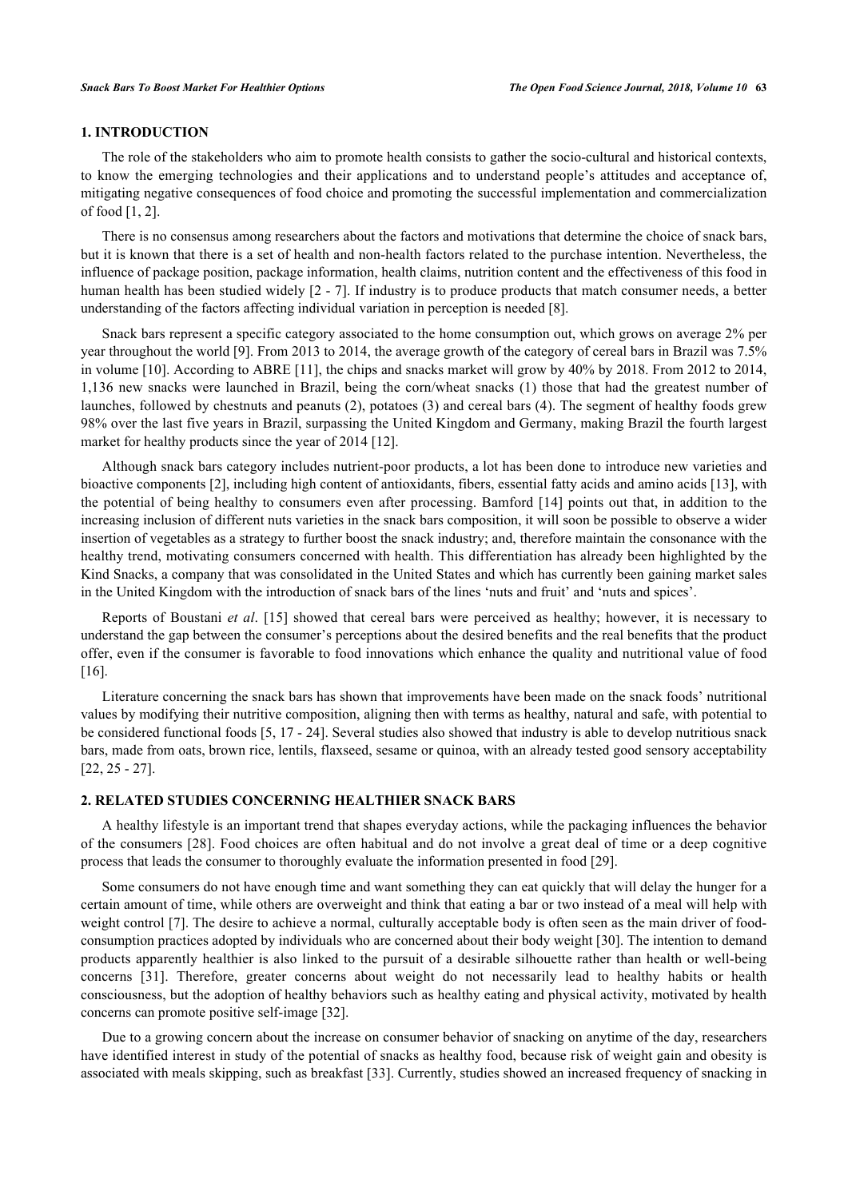# **1. INTRODUCTION**

The role of the stakeholders who aim to promote health consists to gather the socio-cultural and historical contexts, to know the emerging technologies and their applications and to understand people's attitudes and acceptance of, mitigating negative consequences of food choice and promoting the successful implementation and commercialization of food [[1,](#page-11-0) [2\]](#page-11-1).

There is no consensus among researchers about the factors and motivations that determine the choice of snack bars, but it is known that there is a set of health and non-health factors related to the purchase intention. Nevertheless, the influence of package position, package information, health claims, nutrition content and the effectiveness of this food in human health has been studied widely [[2](#page-11-1) - [7](#page-12-0)]. If industry is to produce products that match consumer needs, a better understanding of the factors affecting individual variation in perception is needed [[8\]](#page-12-1).

Snack bars represent a specific category associated to the home consumption out, which grows on average 2% per year throughout the world [\[9](#page-12-2)]. From 2013 to 2014, the average growth of the category of cereal bars in Brazil was 7.5% in volume [\[10](#page-12-3)]. According to ABRE [\[11](#page-12-4)], the chips and snacks market will grow by 40% by 2018. From 2012 to 2014, 1,136 new snacks were launched in Brazil, being the corn/wheat snacks (1) those that had the greatest number of launches, followed by chestnuts and peanuts (2), potatoes (3) and cereal bars (4). The segment of healthy foods grew 98% over the last five years in Brazil, surpassing the United Kingdom and Germany, making Brazil the fourth largest market for healthy products since the year of 2014 [\[12](#page-12-5)].

Although snack bars category includes nutrient-poor products, a lot has been done to introduce new varieties and bioactive components [\[2](#page-11-1)], including high content of antioxidants, fibers, essential fatty acids and amino acids [\[13](#page-12-6)], with the potential of being healthy to consumers even after processing. Bamford [[14\]](#page-12-7) points out that, in addition to the increasing inclusion of different nuts varieties in the snack bars composition, it will soon be possible to observe a wider insertion of vegetables as a strategy to further boost the snack industry; and, therefore maintain the consonance with the healthy trend, motivating consumers concerned with health. This differentiation has already been highlighted by the Kind Snacks, a company that was consolidated in the United States and which has currently been gaining market sales in the United Kingdom with the introduction of snack bars of the lines 'nuts and fruit' and 'nuts and spices'.

Reports of Boustani *et al*. [[15\]](#page-12-8) showed that cereal bars were perceived as healthy; however, it is necessary to understand the gap between the consumer's perceptions about the desired benefits and the real benefits that the product offer, even if the consumer is favorable to food innovations which enhance the quality and nutritional value of food [\[16](#page-12-9)].

Literature concerning the snack bars has shown that improvements have been made on the snack foods' nutritional values by modifying their nutritive composition, aligning then with terms as healthy, natural and safe, with potential to be considered functional foods [\[5](#page-12-10), [17](#page-12-11) - [24\]](#page-12-12). Several studies also showed that industry is able to develop nutritious snack bars, made from oats, brown rice, lentils, flaxseed, sesame or quinoa, with an already tested good sensory acceptability [\[22](#page-12-13), [25](#page-12-14) - [27](#page-13-0)].

# **2. RELATED STUDIES CONCERNING HEALTHIER SNACK BARS**

A healthy lifestyle is an important trend that shapes everyday actions, while the packaging influences the behavior of the consumers [[28](#page-13-1)]. Food choices are often habitual and do not involve a great deal of time or a deep cognitive process that leads the consumer to thoroughly evaluate the information presented in food [\[29](#page-13-2)].

Some consumers do not have enough time and want something they can eat quickly that will delay the hunger for a certain amount of time, while others are overweight and think that eating a bar or two instead of a meal will help with weight control [[7\]](#page-12-0). The desire to achieve a normal, culturally acceptable body is often seen as the main driver of foodconsumption practices adopted by individuals who are concerned about their body weight [\[30](#page-13-3)]. The intention to demand products apparently healthier is also linked to the pursuit of a desirable silhouette rather than health or well-being concerns [\[31](#page-13-4)]. Therefore, greater concerns about weight do not necessarily lead to healthy habits or health consciousness, but the adoption of healthy behaviors such as healthy eating and physical activity, motivated by health concerns can promote positive self-image [\[32](#page-13-5)].

Due to a growing concern about the increase on consumer behavior of snacking on anytime of the day, researchers have identified interest in study of the potential of snacks as healthy food, because risk of weight gain and obesity is associated with meals skipping, such as breakfast [[33](#page-13-6)]. Currently, studies showed an increased frequency of snacking in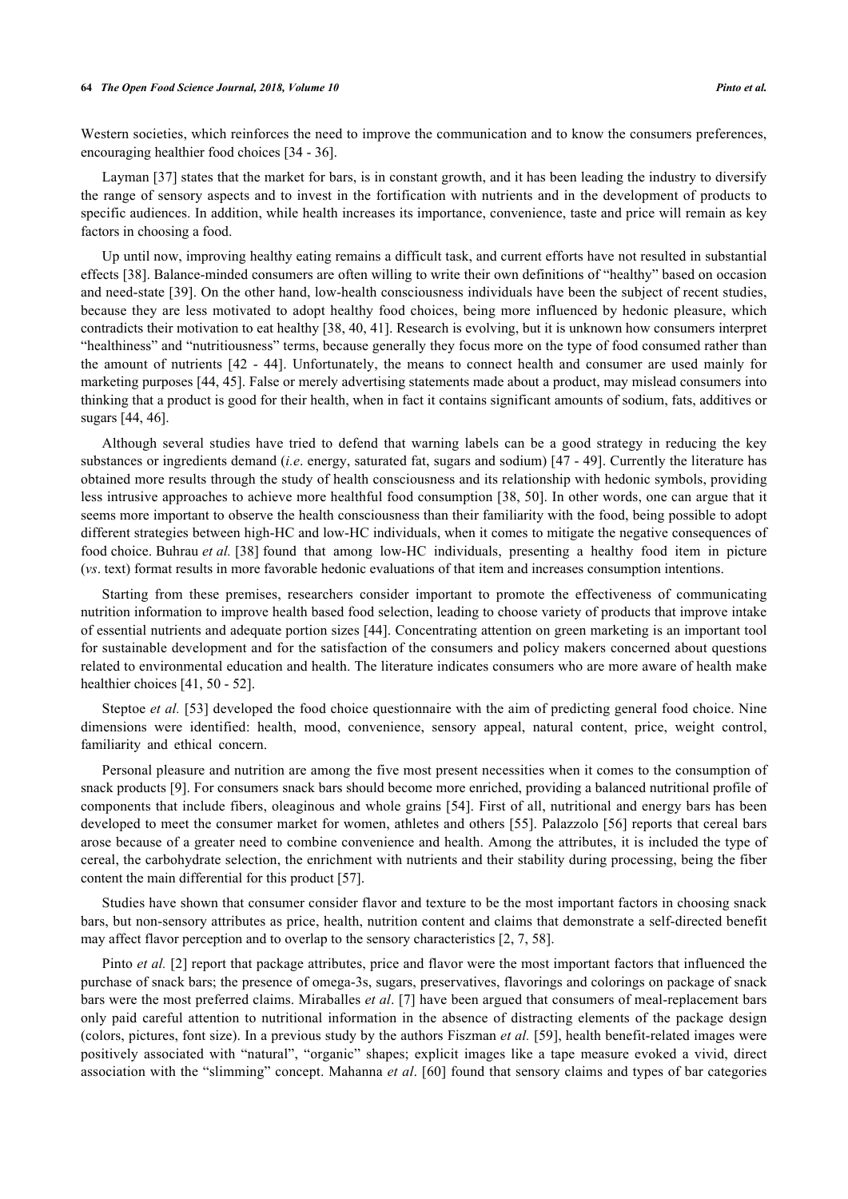Western societies, which reinforces the need to improve the communication and to know the consumers preferences, encouraging healthier food choices [[34](#page-13-7) - [36](#page-13-8)].

Layman [[37](#page-13-9)] states that the market for bars, is in constant growth, and it has been leading the industry to diversify the range of sensory aspects and to invest in the fortification with nutrients and in the development of products to specific audiences. In addition, while health increases its importance, convenience, taste and price will remain as key factors in choosing a food.

Up until now, improving healthy eating remains a difficult task, and current efforts have not resulted in substantial effects [[38\]](#page-13-10). Balance-minded consumers are often willing to write their own definitions of "healthy" based on occasion and need-state [[39](#page-13-11)]. On the other hand, low-health consciousness individuals have been the subject of recent studies, because they are less motivated to adopt healthy food choices, being more influenced by hedonic pleasure, which contradicts their motivation to eat healthy [[38,](#page-13-10) [40](#page-13-12), [41](#page-13-13)]. Research is evolving, but it is unknown how consumers interpret "healthiness" and "nutritiousness" terms, because generally they focus more on the type of food consumed rather than the amount of nutrients[[42](#page-13-14) - [44](#page-13-15)]. Unfortunately, the means to connect health and consumer are used mainly for marketing purposes [\[44,](#page-13-15) [45\]](#page-13-16). False or merely advertising statements made about a product, may mislead consumers into thinking that a product is good for their health, when in fact it contains significant amounts of sodium, fats, additives or sugars [\[44](#page-13-15), [46](#page-13-17)].

Although several studies have tried to defend that warning labels can be a good strategy in reducing the key substances or ingredients demand (*i.e*. energy, saturated fat, sugars and sodium) [\[47](#page-13-18) - [49\]](#page-14-0). Currently the literature has obtained more results through the study of health consciousness and its relationship with hedonic symbols, providing less intrusive approaches to achieve more healthful food consumption [[38,](#page-13-10) [50\]](#page-14-1). In other words, one can argue that it seems more important to observe the health consciousness than their familiarity with the food, being possible to adopt different strategies between high-HC and low-HC individuals, when it comes to mitigate the negative consequences of food choice. Buhrau *et al.* [\[38\]](#page-13-10) found that among low-HC individuals, presenting a healthy food item in picture (*vs*. text) format results in more favorable hedonic evaluations of that item and increases consumption intentions.

Starting from these premises, researchers consider important to promote the effectiveness of communicating nutrition information to improve health based food selection, leading to choose variety of products that improve intake of essential nutrients and adequate portion sizes [[44\]](#page-13-15). Concentrating attention on green marketing is an important tool for sustainable development and for the satisfaction of the consumers and policy makers concerned about questions related to environmental education and health. The literature indicates consumers who are more aware of health make healthier choices [\[41](#page-13-13), [50](#page-14-1) - [52](#page-14-2)].

Steptoe *et al.* [[53](#page-14-3)] developed the food choice questionnaire with the aim of predicting general food choice. Nine dimensions were identified: health, mood, convenience, sensory appeal, natural content, price, weight control, familiarity and ethical concern.

Personal pleasure and nutrition are among the five most present necessities when it comes to the consumption of snack products [[9\]](#page-12-2). For consumers snack bars should become more enriched, providing a balanced nutritional profile of components that include fibers, oleaginous and whole grains [[54\]](#page-14-4). First of all, nutritional and energy bars has been developed to meet the consumer market for women, athletes and others [\[55](#page-14-5)]. Palazzolo [[56](#page-14-6)] reports that cereal bars arose because of a greater need to combine convenience and health. Among the attributes, it is included the type of cereal, the carbohydrate selection, the enrichment with nutrients and their stability during processing, being the fiber content the main differential for this product [\[57](#page-14-7)].

Studies have shown that consumer consider flavor and texture to be the most important factors in choosing snack bars, but non-sensory attributes as price, health, nutrition content and claims that demonstrate a self-directed benefit may affect flavor perception and to overlap to the sensory characteristics [[2,](#page-11-1) [7,](#page-12-0) [58\]](#page-14-8).

Pinto *et al.* [\[2](#page-11-1)] report that package attributes, price and flavor were the most important factors that influenced the purchase of snack bars; the presence of omega-3s, sugars, preservatives, flavorings and colorings on package of snack bars were the most preferred claims. Miraballes *et al*. [\[7](#page-12-0)] have been argued that consumers of meal-replacement bars only paid careful attention to nutritional information in the absence of distracting elements of the package design (colors, pictures, font size). In a previous study by the authors Fiszman *et al.* [\[59\]](#page-14-9), health benefit-related images were positively associated with "natural", "organic" shapes; explicit images like a tape measure evoked a vivid, direct association with the "slimming" concept. Mahanna *et al*. [[60\]](#page-14-10) found that sensory claims and types of bar categories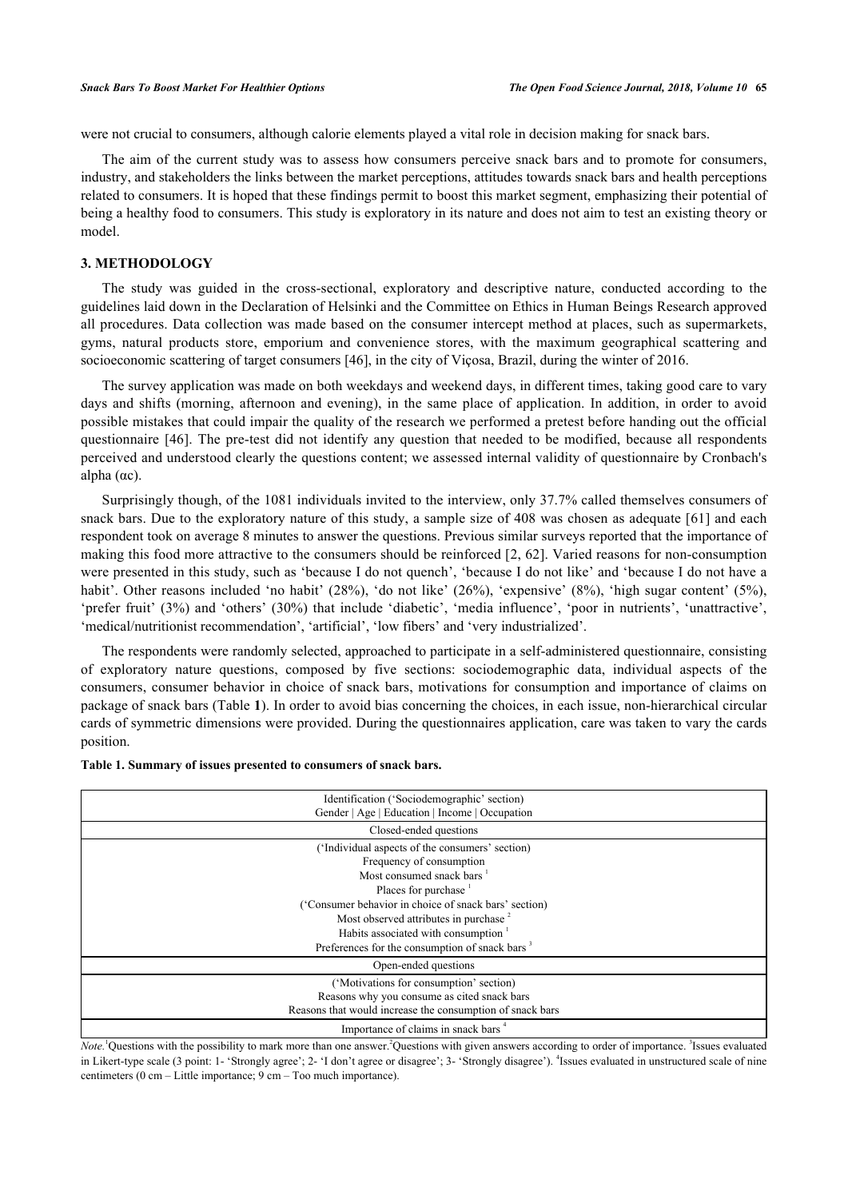were not crucial to consumers, although calorie elements played a vital role in decision making for snack bars.

The aim of the current study was to assess how consumers perceive snack bars and to promote for consumers, industry, and stakeholders the links between the market perceptions, attitudes towards snack bars and health perceptions related to consumers. It is hoped that these findings permit to boost this market segment, emphasizing their potential of being a healthy food to consumers. This study is exploratory in its nature and does not aim to test an existing theory or model.

#### **3. METHODOLOGY**

The study was guided in the cross-sectional, exploratory and descriptive nature, conducted according to the guidelines laid down in the Declaration of Helsinki and the Committee on Ethics in Human Beings Research approved all procedures. Data collection was made based on the consumer intercept method at places, such as supermarkets, gyms, natural products store, emporium and convenience stores, with the maximum geographical scattering and socioeconomic scattering of target consumers [\[46](#page-13-17)], in the city of Viçosa, Brazil, during the winter of 2016.

The survey application was made on both weekdays and weekend days, in different times, taking good care to vary days and shifts (morning, afternoon and evening), in the same place of application. In addition, in order to avoid possible mistakes that could impair the quality of the research we performed a pretest before handing out the official questionnaire [[46](#page-13-17)]. The pre-test did not identify any question that needed to be modified, because all respondents perceived and understood clearly the questions content; we assessed internal validity of questionnaire by Cronbach's alpha  $(\alpha c)$ .

Surprisingly though, of the 1081 individuals invited to the interview, only 37.7% called themselves consumers of snack bars. Due to the exploratory nature of this study, a sample size of 408 was chosen as adequate [[61](#page-14-11)] and each respondent took on average 8 minutes to answer the questions. Previous similar surveys reported that the importance of making this food more attractive to the consumers should be reinforced [\[2](#page-11-1), [62](#page-14-12)]. Varied reasons for non-consumption were presented in this study, such as 'because I do not quench', 'because I do not like' and 'because I do not have a habit'. Other reasons included 'no habit' (28%), 'do not like' (26%), 'expensive' (8%), 'high sugar content' (5%), 'prefer fruit' (3%) and 'others' (30%) that include 'diabetic', 'media influence', 'poor in nutrients', 'unattractive', 'medical/nutritionist recommendation', 'artificial', 'low fibers' and 'very industrialized'.

The respondents were randomly selected, approached to participate in a self-administered questionnaire, consisting of exploratory nature questions, composed by five sections: sociodemographic data, individual aspects of the consumers, consumer behavior in choice of snack bars, motivations for consumption and importance of claims on package of snack bars (Table **[1](#page-3-0)**). In order to avoid bias concerning the choices, in each issue, non-hierarchical circular cards of symmetric dimensions were provided. During the questionnaires application, care was taken to vary the cards position.

| Identification ('Sociodemographic' section)<br>Gender   Age   Education   Income   Occupation                                                                                                                                                                                                                                                    |  |  |  |  |  |  |  |  |
|--------------------------------------------------------------------------------------------------------------------------------------------------------------------------------------------------------------------------------------------------------------------------------------------------------------------------------------------------|--|--|--|--|--|--|--|--|
| Closed-ended questions                                                                                                                                                                                                                                                                                                                           |  |  |  |  |  |  |  |  |
| ('Individual aspects of the consumers' section)<br>Frequency of consumption<br>Most consumed snack bars<br>Places for purchase<br>('Consumer behavior in choice of snack bars' section)<br>Most observed attributes in purchase <sup>2</sup><br>Habits associated with consumption<br>Preferences for the consumption of snack bars <sup>3</sup> |  |  |  |  |  |  |  |  |
| Open-ended questions                                                                                                                                                                                                                                                                                                                             |  |  |  |  |  |  |  |  |
| ('Motivations for consumption' section)<br>Reasons why you consume as cited snack bars<br>Reasons that would increase the consumption of snack bars                                                                                                                                                                                              |  |  |  |  |  |  |  |  |
| Importance of claims in snack bars <sup>4</sup>                                                                                                                                                                                                                                                                                                  |  |  |  |  |  |  |  |  |

<span id="page-3-0"></span>

| Table 1. Summary of issues presented to consumers of snack bars. |  |  |  |  |  |  |  |
|------------------------------------------------------------------|--|--|--|--|--|--|--|
|------------------------------------------------------------------|--|--|--|--|--|--|--|

*Note*.<sup>1</sup>Questions with the possibility to mark more than one answer.<sup>2</sup>Questions with given answers according to order of importance. <sup>3</sup>Issues evaluated in Likert-type scale (3 point: 1- 'Strongly agree'; 2- 'I don't agree or disagree'; 3- 'Strongly disagree'). <sup>4</sup>Issues evaluated in unstructured scale of nine centimeters (0 cm – Little importance; 9 cm – Too much importance).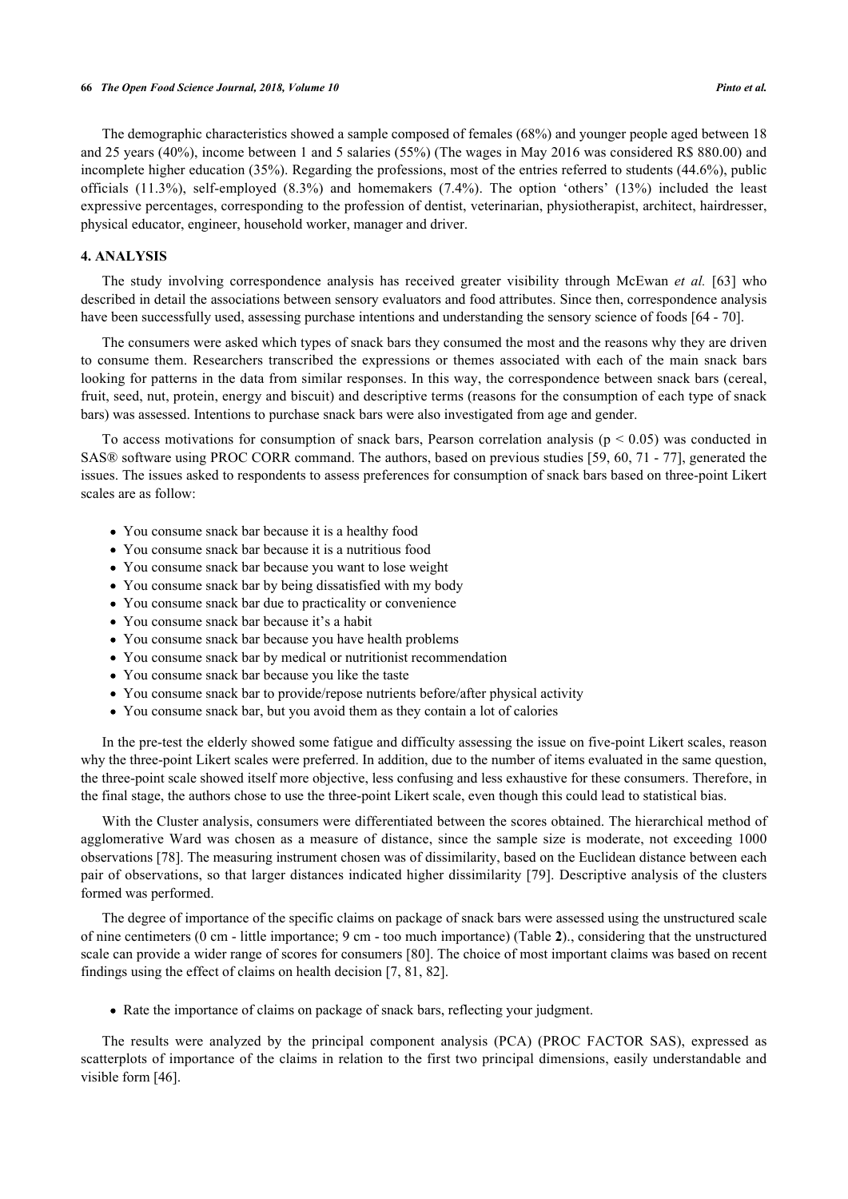The demographic characteristics showed a sample composed of females (68%) and younger people aged between 18 and 25 years (40%), income between 1 and 5 salaries (55%) (The wages in May 2016 was considered R\$ 880.00) and incomplete higher education (35%). Regarding the professions, most of the entries referred to students (44.6%), public officials (11.3%), self-employed (8.3%) and homemakers (7.4%). The option 'others' (13%) included the least expressive percentages, corresponding to the profession of dentist, veterinarian, physiotherapist, architect, hairdresser, physical educator, engineer, household worker, manager and driver.

# **4. ANALYSIS**

The study involving correspondence analysis has received greater visibility through McEwan *et al.* [\[63\]](#page-14-13) who described in detail the associations between sensory evaluators and food attributes. Since then, correspondence analysis have been successfully used, assessing purchase intentions and understanding the sensory science of foods [[64](#page-14-14) - [70\]](#page-15-0).

The consumers were asked which types of snack bars they consumed the most and the reasons why they are driven to consume them. Researchers transcribed the expressions or themes associated with each of the main snack bars looking for patterns in the data from similar responses. In this way, the correspondence between snack bars (cereal, fruit, seed, nut, protein, energy and biscuit) and descriptive terms (reasons for the consumption of each type of snack bars) was assessed. Intentions to purchase snack bars were also investigated from age and gender.

To access motivations for consumption of snack bars, Pearson correlation analysis ( $p < 0.05$ ) was conducted in SAS® software using PROC CORR command. The authors, based on previous studies [[59,](#page-14-9) [60](#page-14-10), [71](#page-15-1) - [77\]](#page-15-2), generated the issues. The issues asked to respondents to assess preferences for consumption of snack bars based on three-point Likert scales are as follow:

- You consume snack bar because it is a healthy food
- You consume snack bar because it is a nutritious food
- You consume snack bar because you want to lose weight
- You consume snack bar by being dissatisfied with my body
- You consume snack bar due to practicality or convenience
- You consume snack bar because it's a habit
- You consume snack bar because you have health problems
- You consume snack bar by medical or nutritionist recommendation
- You consume snack bar because you like the taste
- You consume snack bar to provide/repose nutrients before/after physical activity
- You consume snack bar, but you avoid them as they contain a lot of calories

In the pre-test the elderly showed some fatigue and difficulty assessing the issue on five-point Likert scales, reason why the three-point Likert scales were preferred. In addition, due to the number of items evaluated in the same question, the three-point scale showed itself more objective, less confusing and less exhaustive for these consumers. Therefore, in the final stage, the authors chose to use the three-point Likert scale, even though this could lead to statistical bias.

With the Cluster analysis, consumers were differentiated between the scores obtained. The hierarchical method of agglomerative Ward was chosen as a measure of distance, since the sample size is moderate, not exceeding 1000 observations [\[78](#page-15-3)]. The measuring instrument chosen was of dissimilarity, based on the Euclidean distance between each pair of observations, so that larger distances indicated higher dissimilarity [\[79](#page-15-4)]. Descriptive analysis of the clusters formed was performed.

The degree of importance of the specific claims on package of snack bars were assessed using the unstructured scale of nine centimeters (0 cm - little importance; 9 cm - too much importance) (Table **[2](#page-4-0)**)., considering that the unstructured scale can provide a wider range of scores for consumers [[80\]](#page-15-5). The choice of most important claims was based on recent findings using the effect of claims on health decision [\[7](#page-12-0), [81](#page-15-6), [82](#page-15-7)].

• Rate the importance of claims on package of snack bars, reflecting your judgment.

<span id="page-4-0"></span>The results were analyzed by the principal component analysis (PCA) (PROC FACTOR SAS), expressed as scatterplots of importance of the claims in relation to the first two principal dimensions, easily understandable and visible form [\[46](#page-13-17)].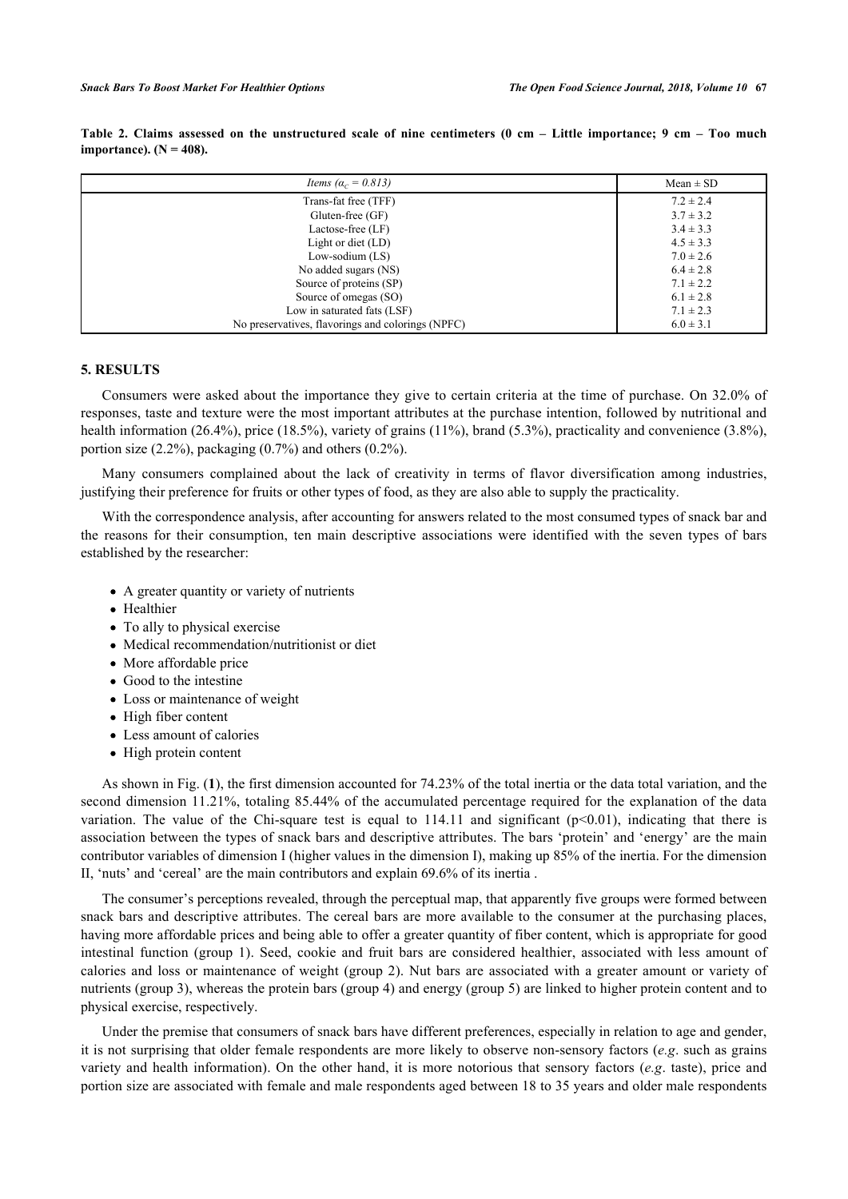| Items ( $\alpha_c = 0.813$ )                      | $Mean \pm SD$ |
|---------------------------------------------------|---------------|
| Trans-fat free (TFF)                              | $7.2 \pm 2.4$ |
| Gluten-free $(GF)$                                | $3.7 \pm 3.2$ |
| Lactose-free (LF)                                 | $3.4 \pm 3.3$ |
| Light or diet $(LD)$                              | $4.5 \pm 3.3$ |
| Low-sodium $(LS)$                                 | $7.0 \pm 2.6$ |
| No added sugars (NS)                              | $6.4 \pm 2.8$ |
| Source of proteins (SP)                           | $7.1 \pm 2.2$ |
| Source of omegas (SO)                             | $6.1 \pm 2.8$ |
| Low in saturated fats (LSF)                       | $7.1 \pm 2.3$ |
| No preservatives, flavorings and colorings (NPFC) | $6.0 \pm 3.1$ |

**Table 2. Claims assessed on the unstructured scale of nine centimeters (0 cm – Little importance; 9 cm – Too much importance**).  $(N = 408)$ .

# **5. RESULTS**

Consumers were asked about the importance they give to certain criteria at the time of purchase. On 32.0% of responses, taste and texture were the most important attributes at the purchase intention, followed by nutritional and health information (26.4%), price (18.5%), variety of grains (11%), brand (5.3%), practicality and convenience (3.8%), portion size (2.2%), packaging (0.7%) and others (0.2%).

Many consumers complained about the lack of creativity in terms of flavor diversification among industries, justifying their preference for fruits or other types of food, as they are also able to supply the practicality.

With the correspondence analysis, after accounting for answers related to the most consumed types of snack bar and the reasons for their consumption, ten main descriptive associations were identified with the seven types of bars established by the researcher:

- A greater quantity or variety of nutrients
- Healthier
- To ally to physical exercise
- Medical recommendation/nutritionist or diet
- More affordable price
- Good to the intestine
- Loss or maintenance of weight
- High fiber content
- Less amount of calories
- High protein content

As shown in Fig. (**[1](#page-6-0)**), the first dimension accounted for 74.23% of the total inertia or the data total variation, and the second dimension 11.21%, totaling 85.44% of the accumulated percentage required for the explanation of the data variation. The value of the Chi-square test is equal to  $114.11$  and significant (p<0.01), indicating that there is association between the types of snack bars and descriptive attributes. The bars 'protein' and 'energy' are the main contributor variables of dimension I (higher values in the dimension I), making up 85% of the inertia. For the dimension II, 'nuts' and 'cereal' are the main contributors and explain 69.6% of its inertia .

The consumer's perceptions revealed, through the perceptual map, that apparently five groups were formed between snack bars and descriptive attributes. The cereal bars are more available to the consumer at the purchasing places, having more affordable prices and being able to offer a greater quantity of fiber content, which is appropriate for good intestinal function (group 1). Seed, cookie and fruit bars are considered healthier, associated with less amount of calories and loss or maintenance of weight (group 2). Nut bars are associated with a greater amount or variety of nutrients (group 3), whereas the protein bars (group 4) and energy (group 5) are linked to higher protein content and to physical exercise, respectively.

Under the premise that consumers of snack bars have different preferences, especially in relation to age and gender, it is not surprising that older female respondents are more likely to observe non-sensory factors (*e.g*. such as grains variety and health information). On the other hand, it is more notorious that sensory factors (*e.g*. taste), price and portion size are associated with female and male respondents aged between 18 to 35 years and older male respondents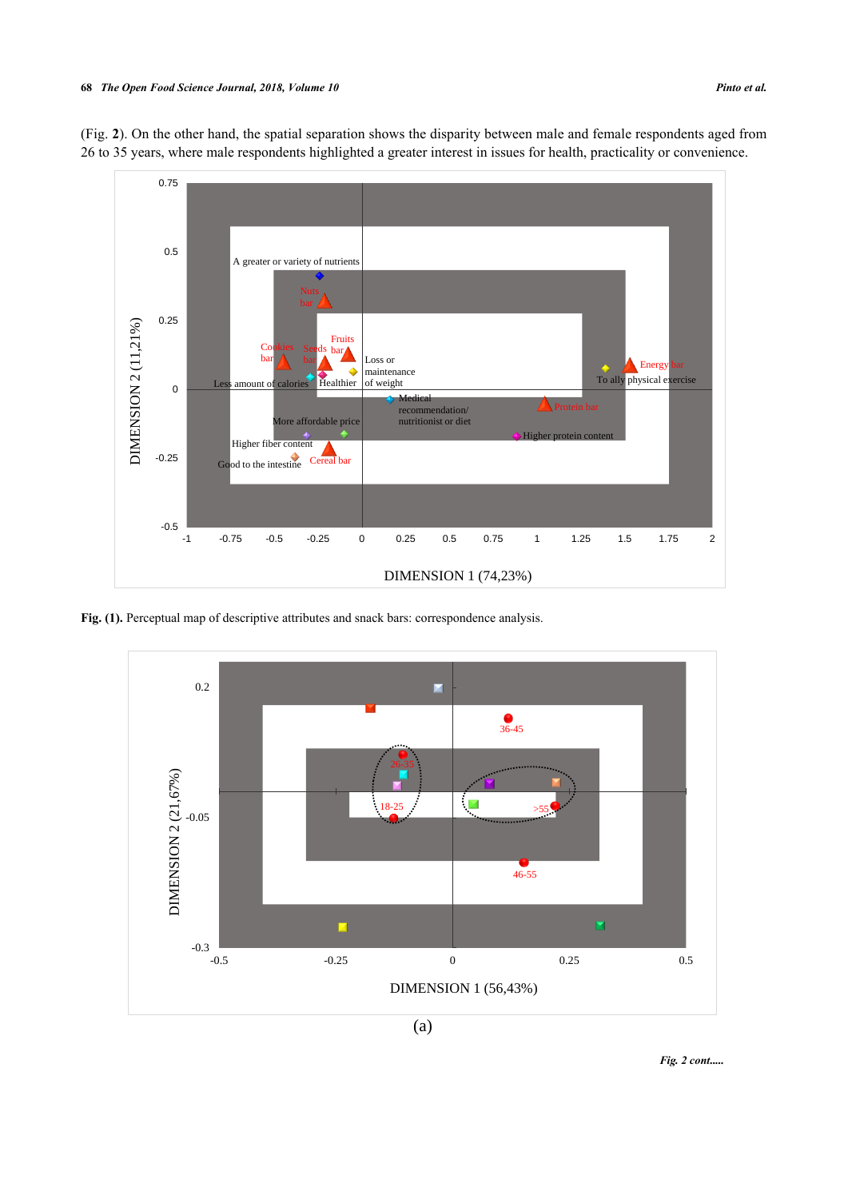

<span id="page-6-0"></span>(Fig. **[2](#page-6-1)**). On the other hand, the spatial separation shows the disparity between male and female respondents aged from 26 to 35 years, where male respondents highlighted a greater interest in issues for health, practicality or convenience.

Fig. (1). Perceptual map of descriptive attributes and snack bars: correspondence analysis.



<span id="page-6-1"></span>(a)

*Fig. 2 cont.....*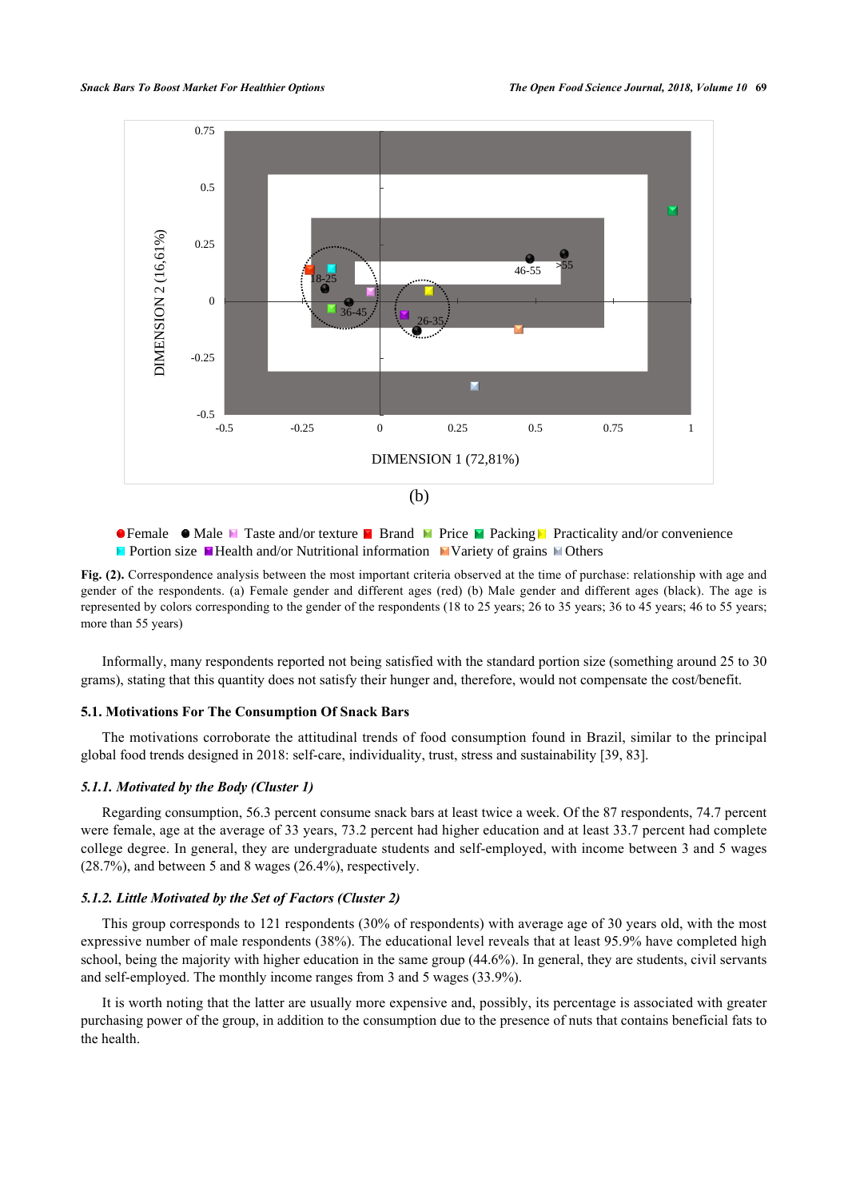

**• Female • Male M** Taste and/or texture **P** Brand **M** Price **M** Packing **P** Practicality and/or convenience **Portion size Y** Health and/or Nutritional information Variety of grains  $\blacksquare$  Others

**Fig. (2).** Correspondence analysis between the most important criteria observed at the time of purchase: relationship with age and gender of the respondents. (a) Female gender and different ages (red) (b) Male gender and different ages (black). The age is represented by colors corresponding to the gender of the respondents (18 to 25 years; 26 to 35 years; 36 to 45 years; 46 to 55 years; more than 55 years)

Informally, many respondents reported not being satisfied with the standard portion size (something around 25 to 30 grams), stating that this quantity does not satisfy their hunger and, therefore, would not compensate the cost/benefit.

#### **5.1. Motivations For The Consumption Of Snack Bars**

The motivations corroborate the attitudinal trends of food consumption found in Brazil, similar to the principal global food trends designed in 2018: self-care, individuality, trust, stress and sustainability [[39,](#page-13-11) [83\]](#page-15-8).

### *5.1.1. Motivated by the Body (Cluster 1)*

Regarding consumption, 56.3 percent consume snack bars at least twice a week. Of the 87 respondents, 74.7 percent were female, age at the average of 33 years, 73.2 percent had higher education and at least 33.7 percent had complete college degree. In general, they are undergraduate students and self-employed, with income between 3 and 5 wages (28.7%), and between 5 and 8 wages (26.4%), respectively.

#### *5.1.2. Little Motivated by the Set of Factors (Cluster 2)*

This group corresponds to 121 respondents (30% of respondents) with average age of 30 years old, with the most expressive number of male respondents (38%). The educational level reveals that at least 95.9% have completed high school, being the majority with higher education in the same group (44.6%). In general, they are students, civil servants and self-employed. The monthly income ranges from 3 and 5 wages (33.9%).

It is worth noting that the latter are usually more expensive and, possibly, its percentage is associated with greater purchasing power of the group, in addition to the consumption due to the presence of nuts that contains beneficial fats to the health.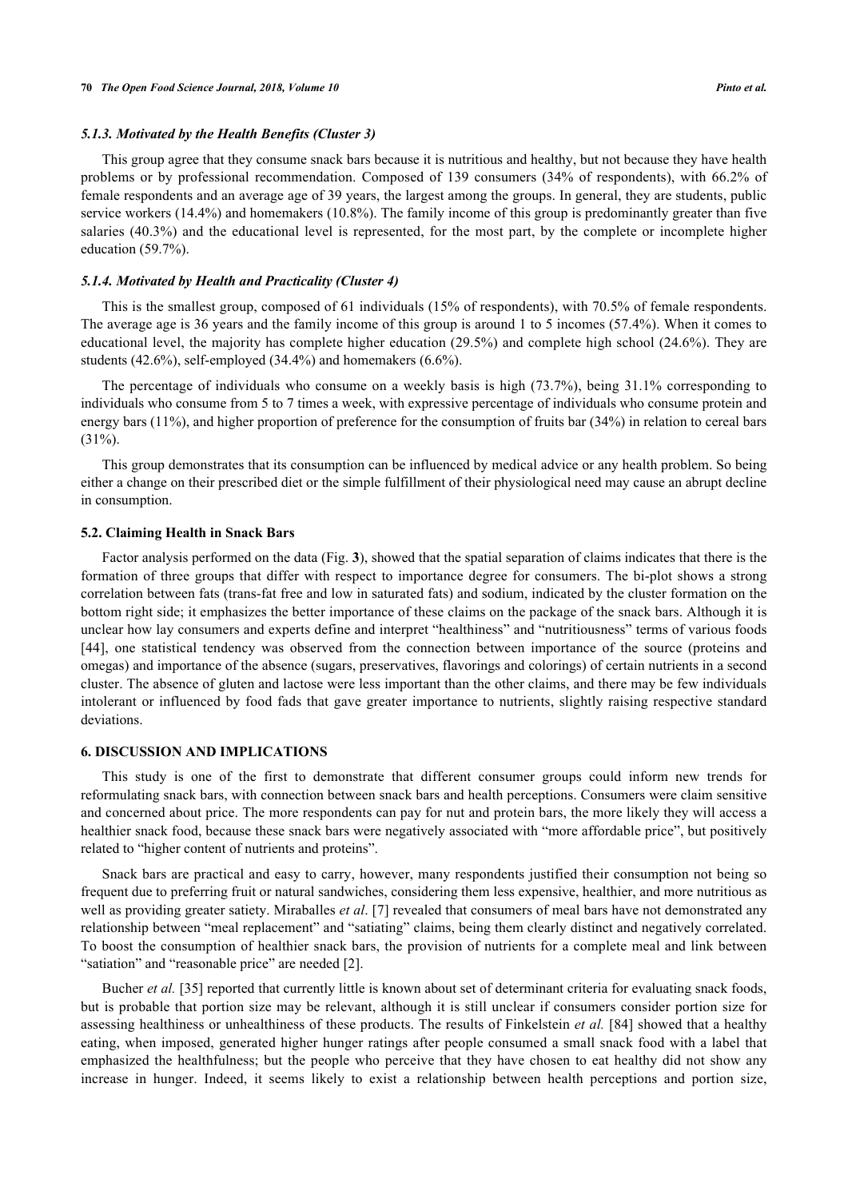#### *5.1.3. Motivated by the Health Benefits (Cluster 3)*

This group agree that they consume snack bars because it is nutritious and healthy, but not because they have health problems or by professional recommendation. Composed of 139 consumers (34% of respondents), with 66.2% of female respondents and an average age of 39 years, the largest among the groups. In general, they are students, public service workers (14.4%) and homemakers (10.8%). The family income of this group is predominantly greater than five salaries (40.3%) and the educational level is represented, for the most part, by the complete or incomplete higher education (59.7%).

#### *5.1.4. Motivated by Health and Practicality (Cluster 4)*

This is the smallest group, composed of 61 individuals (15% of respondents), with 70.5% of female respondents. The average age is 36 years and the family income of this group is around 1 to 5 incomes (57.4%). When it comes to educational level, the majority has complete higher education (29.5%) and complete high school (24.6%). They are students (42.6%), self-employed (34.4%) and homemakers (6.6%).

The percentage of individuals who consume on a weekly basis is high (73.7%), being 31.1% corresponding to individuals who consume from 5 to 7 times a week, with expressive percentage of individuals who consume protein and energy bars (11%), and higher proportion of preference for the consumption of fruits bar (34%) in relation to cereal bars (31%).

This group demonstrates that its consumption can be influenced by medical advice or any health problem. So being either a change on their prescribed diet or the simple fulfillment of their physiological need may cause an abrupt decline in consumption.

#### **5.2. Claiming Health in Snack Bars**

Factor analysis performed on the data (Fig. **[3](#page-9-0)**), showed that the spatial separation of claims indicates that there is the formation of three groups that differ with respect to importance degree for consumers. The bi-plot shows a strong correlation between fats (trans-fat free and low in saturated fats) and sodium, indicated by the cluster formation on the bottom right side; it emphasizes the better importance of these claims on the package of the snack bars. Although it is unclear how lay consumers and experts define and interpret "healthiness" and "nutritiousness" terms of various foods [\[44](#page-13-15)], one statistical tendency was observed from the connection between importance of the source (proteins and omegas) and importance of the absence (sugars, preservatives, flavorings and colorings) of certain nutrients in a second cluster. The absence of gluten and lactose were less important than the other claims, and there may be few individuals intolerant or influenced by food fads that gave greater importance to nutrients, slightly raising respective standard deviations.

#### **6. DISCUSSION AND IMPLICATIONS**

This study is one of the first to demonstrate that different consumer groups could inform new trends for reformulating snack bars, with connection between snack bars and health perceptions. Consumers were claim sensitive and concerned about price. The more respondents can pay for nut and protein bars, the more likely they will access a healthier snack food, because these snack bars were negatively associated with "more affordable price", but positively related to "higher content of nutrients and proteins".

Snack bars are practical and easy to carry, however, many respondents justified their consumption not being so frequent due to preferring fruit or natural sandwiches, considering them less expensive, healthier, and more nutritious as well as providing greater satiety. Miraballes *et al*. [[7\]](#page-12-0) revealed that consumers of meal bars have not demonstrated any relationship between "meal replacement" and "satiating" claims, being them clearly distinct and negatively correlated. To boost the consumption of healthier snack bars, the provision of nutrients for a complete meal and link between "satiation" and "reasonable price" are needed [\[2](#page-11-1)].

Bucher *et al.* [\[35](#page-13-19)] reported that currently little is known about set of determinant criteria for evaluating snack foods, but is probable that portion size may be relevant, although it is still unclear if consumers consider portion size for assessing healthiness or unhealthiness of these products. The results of Finkelstein *et al.* [\[84](#page-15-9)] showed that a healthy eating, when imposed, generated higher hunger ratings after people consumed a small snack food with a label that emphasized the healthfulness; but the people who perceive that they have chosen to eat healthy did not show any increase in hunger. Indeed, it seems likely to exist a relationship between health perceptions and portion size,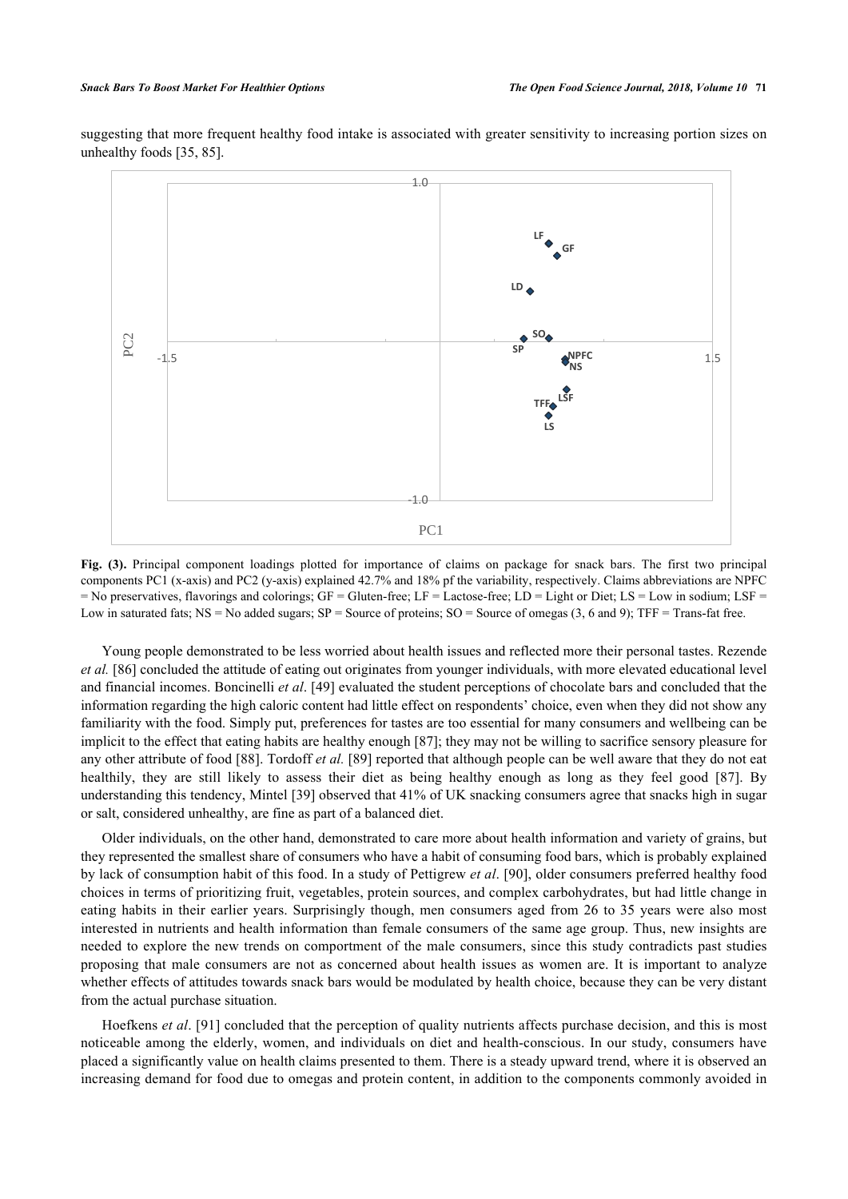<span id="page-9-0"></span>suggesting that more frequent healthy food intake is associated with greater sensitivity to increasing portion sizes on unhealthy foods [[35,](#page-13-19) [85\]](#page-15-10).



**Fig. (3).** Principal component loadings plotted for importance of claims on package for snack bars. The first two principal components PC1 (x-axis) and PC2 (y-axis) explained 42.7% and 18% pf the variability, respectively. Claims abbreviations are NPFC = No preservatives, flavorings and colorings; GF = Gluten-free; LF = Lactose-free; LD = Light or Diet; LS = Low in sodium; LSF = Low in saturated fats; NS = No added sugars; SP = Source of proteins; SO = Source of omegas (3, 6 and 9); TFF = Trans-fat free.

Young people demonstrated to be less worried about health issues and reflected more their personal tastes. Rezende *et al.* [[86\]](#page-15-11) concluded the attitude of eating out originates from younger individuals, with more elevated educational level and financial incomes. Boncinelli *et al*. [[49\]](#page-14-0) evaluated the student perceptions of chocolate bars and concluded that the information regarding the high caloric content had little effect on respondents' choice, even when they did not show any familiarity with the food. Simply put, preferences for tastes are too essential for many consumers and wellbeing can be implicit to the effect that eating habits are healthy enough [\[87](#page-15-12)]; they may not be willing to sacrifice sensory pleasure for any other attribute of food [[88](#page-15-13)]. Tordoff *et al.* [[89\]](#page-15-14) reported that although people can be well aware that they do not eat healthily,they are still likely to assess their diet as being healthy enough as long as they feel good [[87](#page-15-12)]. By understanding this tendency, Mintel [[39](#page-13-11)] observed that 41% of UK snacking consumers agree that snacks high in sugar or salt, considered unhealthy, are fine as part of a balanced diet.

Older individuals, on the other hand, demonstrated to care more about health information and variety of grains, but they represented the smallest share of consumers who have a habit of consuming food bars, which is probably explained by lack of consumption habit of this food. In a study of Pettigrew *et al*. [\[90](#page-15-15)], older consumers preferred healthy food choices in terms of prioritizing fruit, vegetables, protein sources, and complex carbohydrates, but had little change in eating habits in their earlier years. Surprisingly though, men consumers aged from 26 to 35 years were also most interested in nutrients and health information than female consumers of the same age group. Thus, new insights are needed to explore the new trends on comportment of the male consumers, since this study contradicts past studies proposing that male consumers are not as concerned about health issues as women are. It is important to analyze whether effects of attitudes towards snack bars would be modulated by health choice, because they can be very distant from the actual purchase situation.

Hoefkens *et al*. [[91](#page-15-16)] concluded that the perception of quality nutrients affects purchase decision, and this is most noticeable among the elderly, women, and individuals on diet and health-conscious. In our study, consumers have placed a significantly value on health claims presented to them. There is a steady upward trend, where it is observed an increasing demand for food due to omegas and protein content, in addition to the components commonly avoided in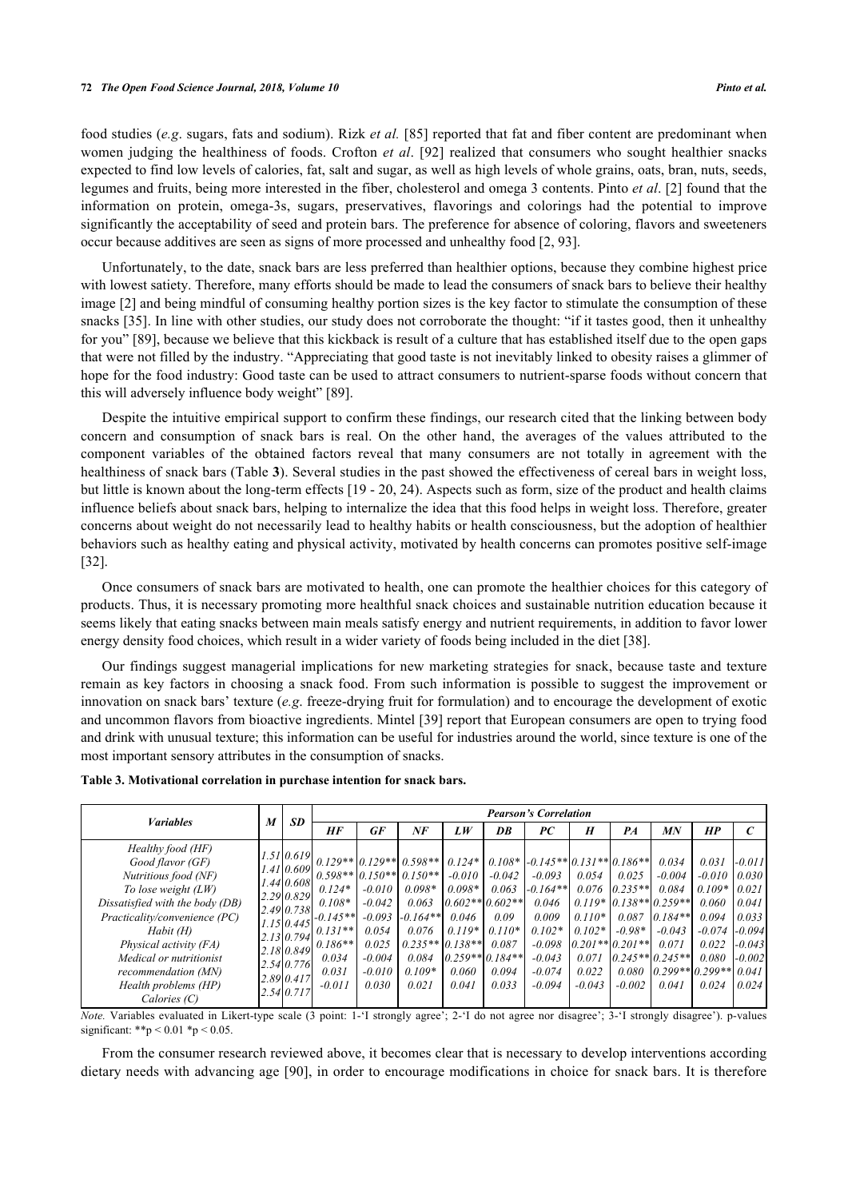food studies (*e.g*. sugars, fats and sodium). Rizk *et al.* [\[85](#page-15-10)] reported that fat and fiber content are predominant when women judging the healthiness of foods. Crofton *et al*. [\[92](#page-16-0)] realized that consumers who sought healthier snacks expected to find low levels of calories, fat, salt and sugar, as well as high levels of whole grains, oats, bran, nuts, seeds, legumes and fruits, being more interested in the fiber, cholesterol and omega 3 contents. Pinto *et al*. [[2\]](#page-11-1) found that the information on protein, omega-3s, sugars, preservatives, flavorings and colorings had the potential to improve significantly the acceptability of seed and protein bars. The preference for absence of coloring, flavors and sweeteners occur because additives are seen as signs of more processed and unhealthy food [[2,](#page-11-1) [93\]](#page-16-1).

Unfortunately, to the date, snack bars are less preferred than healthier options, because they combine highest price with lowest satiety. Therefore, many efforts should be made to lead the consumers of snack bars to believe their healthy image [\[2](#page-11-1)] and being mindful of consuming healthy portion sizes is the key factor to stimulate the consumption of these snacks [[35](#page-13-19)]. In line with other studies, our study does not corroborate the thought: "if it tastes good, then it unhealthy for you" [\[89\]](#page-15-14), because we believe that this kickback is result of a culture that has established itself due to the open gaps that were not filled by the industry. "Appreciating that good taste is not inevitably linked to obesity raises a glimmer of hope for the food industry: Good taste can be used to attract consumers to nutrient-sparse foods without concern that this will adversely influence body weight" [\[89](#page-15-14)].

Despite the intuitive empirical support to confirm these findings, our research cited that the linking between body concern and consumption of snack bars is real. On the other hand, the averages of the values attributed to the component variables of the obtained factors reveal that many consumers are not totally in agreement with the healthiness of snack bars (Table **[3](#page-10-0)**). Several studies in the past showed the effectiveness of cereal bars in weight loss, but little is known about the long-term effects [19 - 20, 24). Aspects such as form, size of the product and health claims influence beliefs about snack bars, helping to internalize the idea that this food helps in weight loss. Therefore, greater concerns about weight do not necessarily lead to healthy habits or health consciousness, but the adoption of healthier behaviors such as healthy eating and physical activity, motivated by health concerns can promotes positive self-image [\[32](#page-13-5)].

Once consumers of snack bars are motivated to health, one can promote the healthier choices for this category of products. Thus, it is necessary promoting more healthful snack choices and sustainable nutrition education because it seems likely that eating snacks between main meals satisfy energy and nutrient requirements, in addition to favor lower energy density food choices, which result in a wider variety of foods being included in the diet [\[38](#page-13-10)].

Our findings suggest managerial implications for new marketing strategies for snack, because taste and texture remain as key factors in choosing a snack food. From such information is possible to suggest the improvement or innovation on snack bars' texture (*e.g*. freeze-drying fruit for formulation) and to encourage the development of exotic and uncommon flavors from bioactive ingredients. Mintel [[39\]](#page-13-11) report that European consumers are open to trying food and drink with unusual texture; this information can be useful for industries around the world, since texture is one of the most important sensory attributes in the consumption of snacks.

| <b><i>Variables</i></b>                                                                                                                                                                                                                                                                     |  | <b>SD</b>                                                                                                                                                           | <b>Pearson's Correlation</b>                                                               |                                                                                     |                                                                                                                                                           |                                                                         |                                                                                                          |                                                                                                                                                 |                                                                      |                                                                                                                                    |                                                                                                       |                                                                                        |                                                                                           |
|---------------------------------------------------------------------------------------------------------------------------------------------------------------------------------------------------------------------------------------------------------------------------------------------|--|---------------------------------------------------------------------------------------------------------------------------------------------------------------------|--------------------------------------------------------------------------------------------|-------------------------------------------------------------------------------------|-----------------------------------------------------------------------------------------------------------------------------------------------------------|-------------------------------------------------------------------------|----------------------------------------------------------------------------------------------------------|-------------------------------------------------------------------------------------------------------------------------------------------------|----------------------------------------------------------------------|------------------------------------------------------------------------------------------------------------------------------------|-------------------------------------------------------------------------------------------------------|----------------------------------------------------------------------------------------|-------------------------------------------------------------------------------------------|
|                                                                                                                                                                                                                                                                                             |  |                                                                                                                                                                     | HF                                                                                         | <b>GF</b>                                                                           | NF                                                                                                                                                        | LW                                                                      | DB                                                                                                       | PC                                                                                                                                              | $\boldsymbol{H}$                                                     | PA                                                                                                                                 | МN                                                                                                    | HP                                                                                     |                                                                                           |
| Healthy food (HF)<br>Good flavor (GF)<br>Nutritious food (NF)<br>To lose weight $(LW)$<br>Dissatisfied with the body (DB)<br>Practicality/convenience (PC)<br>Habit (H)<br>Physical activity (FA)<br>Medical or nutritionist<br>recommendation (MN)<br>Health problems (HP)<br>Calories (C) |  | 1.51 0.619<br>$1.41\,0.609$<br>$1.44 \, 0.608$<br>2.290.829<br>2.490.738<br>1.15[0.445]<br>2.130.794<br>2.18 0.849<br>2.54 0.776 <br>2.890.417<br>$2.54 \mid 0.717$ | $0.124*$<br>$0.108*$<br>$-0.145**$<br>$0.131**$<br>$0.186**$<br>0.034<br>0.031<br>$-0.011$ | $-0.010$<br>$-0.042$<br>$-0.093$<br>0.054<br>0.025<br>$-0.004$<br>$-0.010$<br>0.030 | $0.129**$ $0.129**$ $0.598**$<br>$0.598**$ 0.150** 0.150**<br>$0.098*$<br>0.063<br>$-0.164**$<br>0.076<br>$0.235**$ 0.138**<br>0.084<br>$0.109*$<br>0.021 | $0.124*$<br>$-0.010$<br>$0.098*$<br>0.046<br>$0.119*$<br>0.060<br>0.041 | $-0.042$<br>0.063<br>$0.602**0.602**$<br>0.09<br>$0.110*$<br>0.087<br>$0.259**0.184**$<br>0.094<br>0.033 | $0.108*$ $-0.145**$ $0.131**$ $0.186**$<br>$-0.093$<br>$-0.164**$<br>0.046<br>0.009<br>$0.102*$<br>$-0.098$<br>$-0.043$<br>$-0.074$<br>$-0.094$ | 0.054<br>0.076<br>$0.110*$<br>$0.102*$<br>0.071<br>0.022<br>$-0.043$ | 0.025<br>$0.235**$<br>$0.119*10.138**0.259**$<br>0.087<br>$-0.98*$<br>$[0.201**]$ 0.201**<br>$0.245**0.245**$<br>0.080<br>$-0.002$ | 0.034<br>$-0.004$<br>0.084<br>$0.184**$<br>$-0.043$<br>0.071<br>$[0.299**]$ 0.299** $[0.04]$<br>0.041 | 0.031<br>$-0.010$<br>$0.109*$<br>0.060<br>0.094<br>$-0.074$<br>0.022<br>0.080<br>0.024 | $-0.011$<br>0.030<br>0.021<br>0.041<br>0.033<br>$-0.094$<br>$-0.043$<br>$-0.002$<br>0.024 |

#### <span id="page-10-0"></span>**Table 3. Motivational correlation in purchase intention for snack bars.**

*Note.* Variables evaluated in Likert-type scale (3 point: 1-'I strongly agree'; 2-'I do not agree nor disagree'; 3-'I strongly disagree'). p-values significant: \*\*p < 0.01 \*p < 0.05.

From the consumer research reviewed above, it becomes clear that is necessary to develop interventions according dietary needs with advancing age [[90](#page-15-15)], in order to encourage modifications in choice for snack bars. It is therefore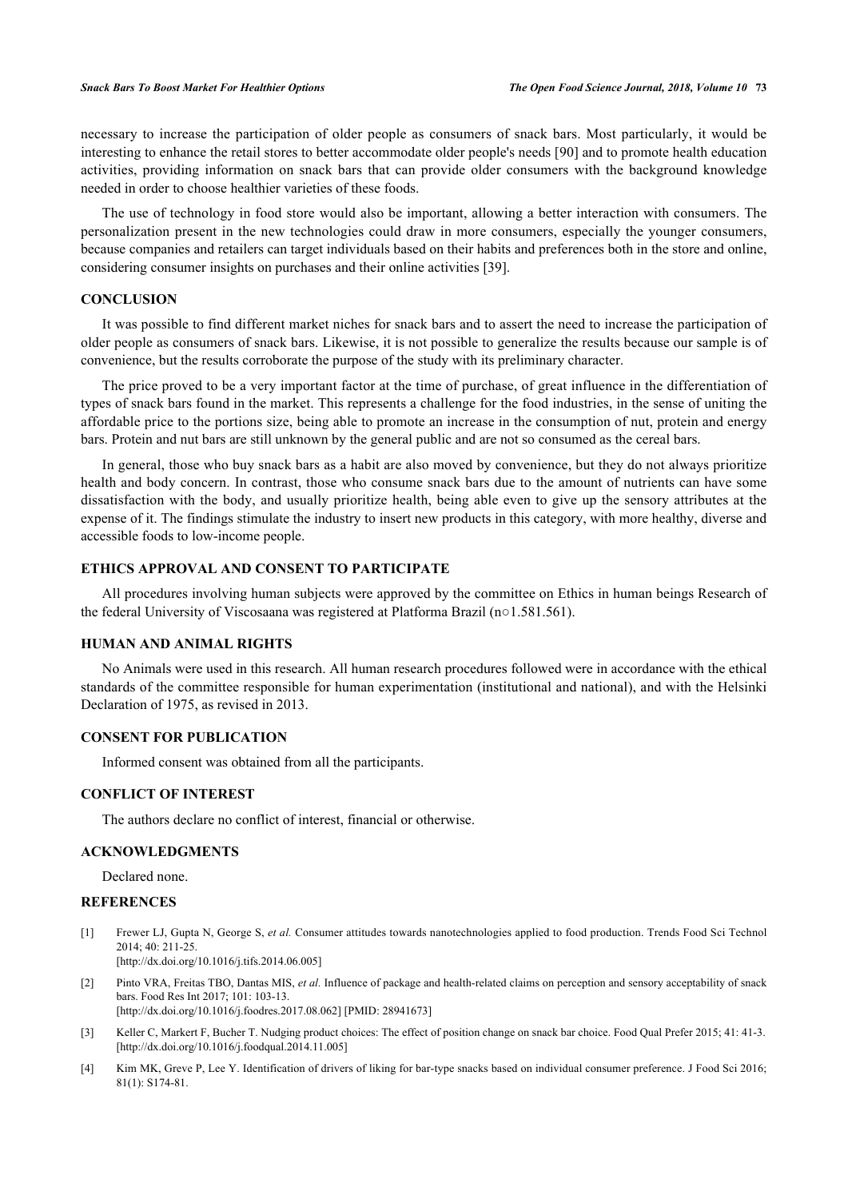necessary to increase the participation of older people as consumers of snack bars. Most particularly, it would be interesting to enhance the retail stores to better accommodate older people's needs [[90\]](#page-15-15) and to promote health education activities, providing information on snack bars that can provide older consumers with the background knowledge needed in order to choose healthier varieties of these foods.

The use of technology in food store would also be important, allowing a better interaction with consumers. The personalization present in the new technologies could draw in more consumers, especially the younger consumers, because companies and retailers can target individuals based on their habits and preferences both in the store and online, considering consumer insights on purchases and their online activities [\[39](#page-13-11)].

#### **CONCLUSION**

It was possible to find different market niches for snack bars and to assert the need to increase the participation of older people as consumers of snack bars. Likewise, it is not possible to generalize the results because our sample is of convenience, but the results corroborate the purpose of the study with its preliminary character.

The price proved to be a very important factor at the time of purchase, of great influence in the differentiation of types of snack bars found in the market. This represents a challenge for the food industries, in the sense of uniting the affordable price to the portions size, being able to promote an increase in the consumption of nut, protein and energy bars. Protein and nut bars are still unknown by the general public and are not so consumed as the cereal bars.

In general, those who buy snack bars as a habit are also moved by convenience, but they do not always prioritize health and body concern. In contrast, those who consume snack bars due to the amount of nutrients can have some dissatisfaction with the body, and usually prioritize health, being able even to give up the sensory attributes at the expense of it. The findings stimulate the industry to insert new products in this category, with more healthy, diverse and accessible foods to low-income people.

# **ETHICS APPROVAL AND CONSENT TO PARTICIPATE**

All procedures involving human subjects were approved by the committee on Ethics in human beings Research of the federal University of Viscosaana was registered at Platforma Brazil (n○1.581.561).

# **HUMAN AND ANIMAL RIGHTS**

No Animals were used in this research. All human research procedures followed were in accordance with the ethical standards of the committee responsible for human experimentation (institutional and national), and with the Helsinki Declaration of 1975, as revised in 2013.

#### **CONSENT FOR PUBLICATION**

Informed consent was obtained from all the participants.

#### **CONFLICT OF INTEREST**

The authors declare no conflict of interest, financial or otherwise.

#### **ACKNOWLEDGMENTS**

Declared none.

# **REFERENCES**

- <span id="page-11-0"></span>[1] Frewer LJ, Gupta N, George S, *et al.* Consumer attitudes towards nanotechnologies applied to food production. Trends Food Sci Technol 2014; 40: 211-25. [\[http://dx.doi.org/10.1016/j.tifs.2014.06.005](http://dx.doi.org/10.1016/j.tifs.2014.06.005)]
- <span id="page-11-1"></span>[2] Pinto VRA, Freitas TBO, Dantas MIS, *et al.* Influence of package and health-related claims on perception and sensory acceptability of snack bars. Food Res Int 2017; 101: 103-13. [\[http://dx.doi.org/10.1016/j.foodres.2017.08.062](http://dx.doi.org/10.1016/j.foodres.2017.08.062)] [PMID: [28941673\]](http://www.ncbi.nlm.nih.gov/pubmed/28941673)
- [3] Keller C, Markert F, Bucher T. Nudging product choices: The effect of position change on snack bar choice. Food Qual Prefer 2015; 41: 41-3. [\[http://dx.doi.org/10.1016/j.foodqual.2014.11.005](http://dx.doi.org/10.1016/j.foodqual.2014.11.005)]
- [4] Kim MK, Greve P, Lee Y. Identification of drivers of liking for bar-type snacks based on individual consumer preference. J Food Sci 2016; 81(1): S174-81.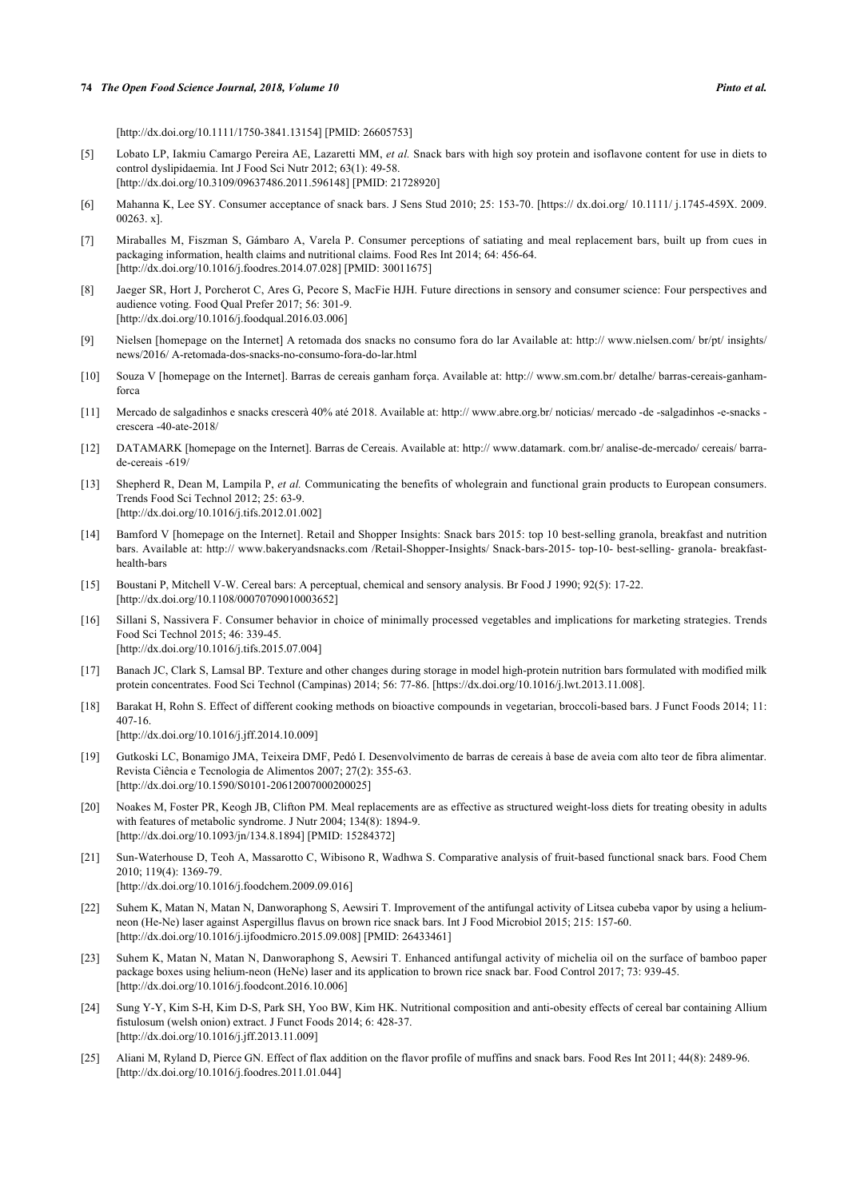[\[http://dx.doi.org/10.1111/1750-3841.13154](http://dx.doi.org/10.1111/1750-3841.13154)] [PMID: [26605753](http://www.ncbi.nlm.nih.gov/pubmed/26605753)]

- <span id="page-12-10"></span>[5] Lobato LP, Iakmiu Camargo Pereira AE, Lazaretti MM, *et al.* Snack bars with high soy protein and isoflavone content for use in diets to control dyslipidaemia. Int J Food Sci Nutr 2012; 63(1): 49-58. [\[http://dx.doi.org/10.3109/09637486.2011.596148\]](http://dx.doi.org/10.3109/09637486.2011.596148) [PMID: [21728920](http://www.ncbi.nlm.nih.gov/pubmed/21728920)]
- [6] Mahanna K, Lee SY. Consumer acceptance of snack bars. J Sens Stud 2010; 25: 153-70. [https:// dx.doi.org/ 10.1111/ j.1745-459X. 2009. 00263. x].
- <span id="page-12-0"></span>[7] Miraballes M, Fiszman S, Gámbaro A, Varela P. Consumer perceptions of satiating and meal replacement bars, built up from cues in packaging information, health claims and nutritional claims. Food Res Int 2014; 64: 456-64. [\[http://dx.doi.org/10.1016/j.foodres.2014.07.028](http://dx.doi.org/10.1016/j.foodres.2014.07.028)] [PMID: [30011675\]](http://www.ncbi.nlm.nih.gov/pubmed/30011675)
- <span id="page-12-1"></span>[8] Jaeger SR, Hort J, Porcherot C, Ares G, Pecore S, MacFie HJH. Future directions in sensory and consumer science: Four perspectives and audience voting. Food Qual Prefer 2017; 56: 301-9. [\[http://dx.doi.org/10.1016/j.foodqual.2016.03.006](http://dx.doi.org/10.1016/j.foodqual.2016.03.006)]
- <span id="page-12-2"></span>[9] Nielsen [homepage on the Internet] A retomada dos snacks no consumo fora do lar Available at: [http:// www.nielsen.com/ br/pt/ insights/](http://www.nielsen.com/br/pt/insights/news/2016/A-retomada-dos-snacks-no-consumo-fora-do-lar.html) [news/2016/ A-retomada-dos-snacks-no-consumo-fora-do-lar.html](http://www.nielsen.com/br/pt/insights/news/2016/A-retomada-dos-snacks-no-consumo-fora-do-lar.html)
- <span id="page-12-3"></span>[10] Souza V [homepage on the Internet]. Barras de cereais ganham força. Available at: [http:// www.sm.com.br/ detalhe/ barras-cereais-ganham](http://www.sm.com.br/detalhe/barras-cereais-ganham-forca)[forca](http://www.sm.com.br/detalhe/barras-cereais-ganham-forca)
- <span id="page-12-4"></span>[11] Mercado de salgadinhos e snacks crescerà 40% até 2018. Available at: [http:// www.abre.org.br/ noticias/ mercado -de -salgadinhos -e-snacks](http://www.abre.org.br/noticias/mercado-de-salgadinhos-e-snacks-crescera-40-ate-2018/)  [crescera -40-ate-2018/](http://www.abre.org.br/noticias/mercado-de-salgadinhos-e-snacks-crescera-40-ate-2018/)
- <span id="page-12-5"></span>[12] DATAMARK [homepage on the Internet]. Barras de Cereais. Available at: [http:// www.datamark. com.br/ analise-de-mercado/ cereais/ barra](http://www.datamark.com.br/analise-de-mercado/cereais/barra-de-cereais-619/)[de-cereais -619/](http://www.datamark.com.br/analise-de-mercado/cereais/barra-de-cereais-619/)
- <span id="page-12-6"></span>[13] Shepherd R, Dean M, Lampila P, *et al.* Communicating the benefits of wholegrain and functional grain products to European consumers. Trends Food Sci Technol 2012; 25: 63-9. [\[http://dx.doi.org/10.1016/j.tifs.2012.01.002](http://dx.doi.org/10.1016/j.tifs.2012.01.002)]
- <span id="page-12-7"></span>[14] Bamford V [homepage on the Internet]. Retail and Shopper Insights: Snack bars 2015: top 10 best-selling granola, breakfast and nutrition bars. Available at: [http:// www.bakeryandsnacks.com /Retail-Shopper-Insights/ Snack-bars-2015- top-10- best-selling- granola- breakfast](http://www.bakeryandsnacks.com/Retail-Shopper-Insights/Snack-bars-2015-top-10-best-selling-granola-breakfast-health-bars)[health-bars](http://www.bakeryandsnacks.com/Retail-Shopper-Insights/Snack-bars-2015-top-10-best-selling-granola-breakfast-health-bars)
- <span id="page-12-8"></span>[15] Boustani P, Mitchell V-W. Cereal bars: A perceptual, chemical and sensory analysis. Br Food J 1990; 92(5): 17-22. [\[http://dx.doi.org/10.1108/00070709010003652\]](http://dx.doi.org/10.1108/00070709010003652)
- <span id="page-12-9"></span>[16] Sillani S, Nassivera F. Consumer behavior in choice of minimally processed vegetables and implications for marketing strategies. Trends Food Sci Technol 2015; 46: 339-45. [\[http://dx.doi.org/10.1016/j.tifs.2015.07.004](http://dx.doi.org/10.1016/j.tifs.2015.07.004)]
- <span id="page-12-11"></span>[17] Banach JC, Clark S, Lamsal BP. Texture and other changes during storage in model high-protein nutrition bars formulated with modified milk protein concentrates. Food Sci Technol (Campinas) 2014; 56: 77-86. [https://dx.doi.org/10.1016/j.lwt.2013.11.008].
- [18] Barakat H, Rohn S. Effect of different cooking methods on bioactive compounds in vegetarian, broccoli-based bars. J Funct Foods 2014; 11: 407-16. [\[http://dx.doi.org/10.1016/j.jff.2014.10.009\]](http://dx.doi.org/10.1016/j.jff.2014.10.009)
- [19] Gutkoski LC, Bonamigo JMA, Teixeira DMF, Pedó I. Desenvolvimento de barras de cereais à base de aveia com alto teor de fibra alimentar. Revista Ciência e Tecnologia de Alimentos 2007; 27(2): 355-63. [\[http://dx.doi.org/10.1590/S0101-20612007000200025\]](http://dx.doi.org/10.1590/S0101-20612007000200025)
- [20] Noakes M, Foster PR, Keogh JB, Clifton PM. Meal replacements are as effective as structured weight-loss diets for treating obesity in adults with features of metabolic syndrome. J Nutr 2004; 134(8): 1894-9. [\[http://dx.doi.org/10.1093/jn/134.8.1894](http://dx.doi.org/10.1093/jn/134.8.1894)] [PMID: [15284372\]](http://www.ncbi.nlm.nih.gov/pubmed/15284372)
- [21] Sun-Waterhouse D, Teoh A, Massarotto C, Wibisono R, Wadhwa S. Comparative analysis of fruit-based functional snack bars. Food Chem 2010; 119(4): 1369-79. [\[http://dx.doi.org/10.1016/j.foodchem.2009.09.016](http://dx.doi.org/10.1016/j.foodchem.2009.09.016)]
- <span id="page-12-13"></span>[22] Suhem K, Matan N, Matan N, Danworaphong S, Aewsiri T. Improvement of the antifungal activity of Litsea cubeba vapor by using a heliumneon (He-Ne) laser against Aspergillus flavus on brown rice snack bars. Int J Food Microbiol 2015; 215: 157-60. [\[http://dx.doi.org/10.1016/j.ijfoodmicro.2015.09.008\]](http://dx.doi.org/10.1016/j.ijfoodmicro.2015.09.008) [PMID: [26433461](http://www.ncbi.nlm.nih.gov/pubmed/26433461)]
- [23] Suhem K, Matan N, Matan N, Danworaphong S, Aewsiri T. Enhanced antifungal activity of michelia oil on the surface of bamboo paper package boxes using helium-neon (HeNe) laser and its application to brown rice snack bar. Food Control 2017; 73: 939-45. [\[http://dx.doi.org/10.1016/j.foodcont.2016.10.006](http://dx.doi.org/10.1016/j.foodcont.2016.10.006)]
- <span id="page-12-12"></span>[24] Sung Y-Y, Kim S-H, Kim D-S, Park SH, Yoo BW, Kim HK. Nutritional composition and anti-obesity effects of cereal bar containing Allium fistulosum (welsh onion) extract. J Funct Foods 2014; 6: 428-37. [\[http://dx.doi.org/10.1016/j.jff.2013.11.009\]](http://dx.doi.org/10.1016/j.jff.2013.11.009)
- <span id="page-12-14"></span>[25] Aliani M, Ryland D, Pierce GN. Effect of flax addition on the flavor profile of muffins and snack bars. Food Res Int 2011; 44(8): 2489-96. [\[http://dx.doi.org/10.1016/j.foodres.2011.01.044](http://dx.doi.org/10.1016/j.foodres.2011.01.044)]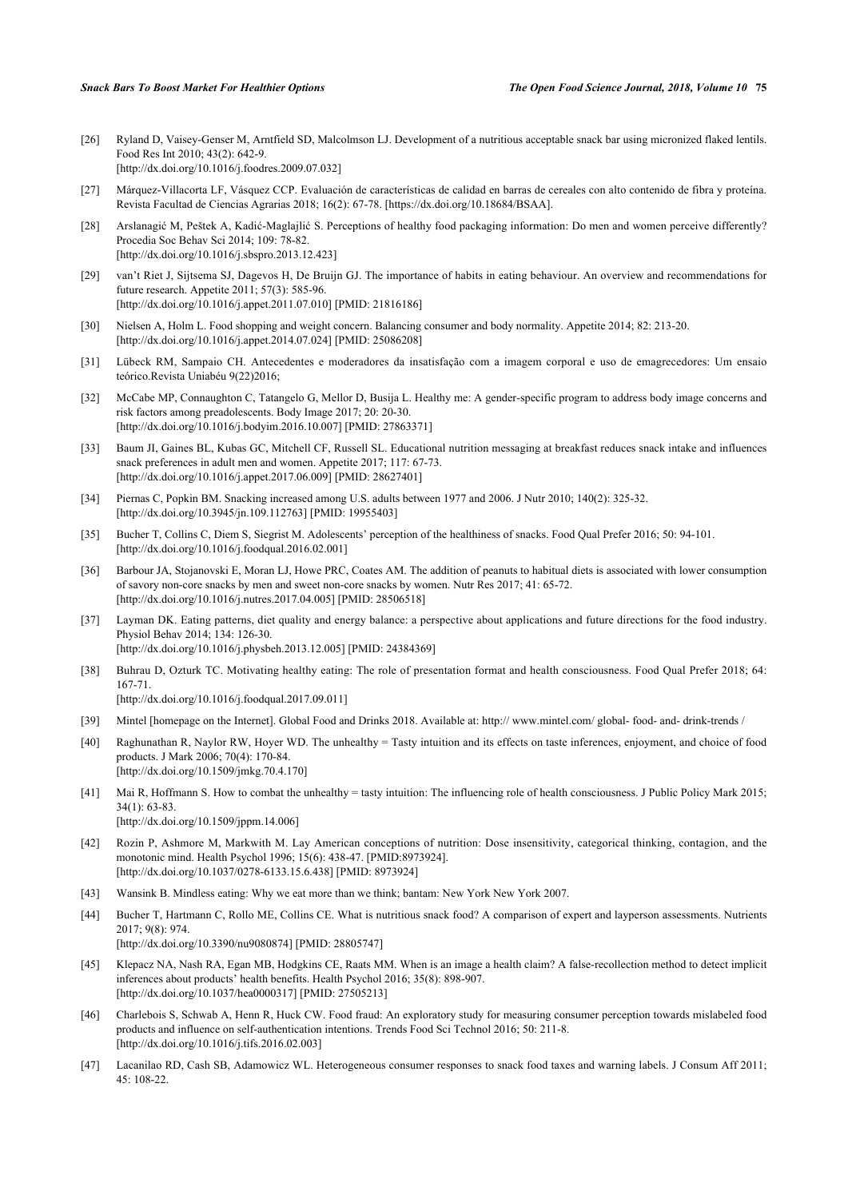- [26] Ryland D, Vaisey-Genser M, Arntfield SD, Malcolmson LJ. Development of a nutritious acceptable snack bar using micronized flaked lentils. Food Res Int 2010; 43(2): 642-9. [\[http://dx.doi.org/10.1016/j.foodres.2009.07.032](http://dx.doi.org/10.1016/j.foodres.2009.07.032)]
- <span id="page-13-0"></span>[27] Márquez-Villacorta LF, Vásquez CCP. Evaluación de características de calidad en barras de cereales con alto contenido de fibra y proteína. Revista Facultad de Ciencias Agrarias 2018; 16(2): 67-78. [https://dx.doi.org/10.18684/BSAA].
- <span id="page-13-1"></span>[28] Arslanagić M, Peštek A, Kadić-Maglajlić S. Perceptions of healthy food packaging information: Do men and women perceive differently? Procedia Soc Behav Sci 2014; 109: 78-82. [\[http://dx.doi.org/10.1016/j.sbspro.2013.12.423\]](http://dx.doi.org/10.1016/j.sbspro.2013.12.423)
- <span id="page-13-2"></span>[29] van't Riet J, Sijtsema SJ, Dagevos H, De Bruijn GJ. The importance of habits in eating behaviour. An overview and recommendations for future research. Appetite 2011; 57(3): 585-96. [\[http://dx.doi.org/10.1016/j.appet.2011.07.010](http://dx.doi.org/10.1016/j.appet.2011.07.010)] [PMID: [21816186\]](http://www.ncbi.nlm.nih.gov/pubmed/21816186)
- <span id="page-13-3"></span>[30] Nielsen A, Holm L. Food shopping and weight concern. Balancing consumer and body normality. Appetite 2014; 82: 213-20. [\[http://dx.doi.org/10.1016/j.appet.2014.07.024](http://dx.doi.org/10.1016/j.appet.2014.07.024)] [PMID: [25086208\]](http://www.ncbi.nlm.nih.gov/pubmed/25086208)
- <span id="page-13-4"></span>[31] Lübeck RM, Sampaio CH. Antecedentes e moderadores da insatisfação com a imagem corporal e uso de emagrecedores: Um ensaio teórico.Revista Uniabéu 9(22)2016;
- <span id="page-13-5"></span>[32] McCabe MP, Connaughton C, Tatangelo G, Mellor D, Busija L. Healthy me: A gender-specific program to address body image concerns and risk factors among preadolescents. Body Image 2017; 20: 20-30. [\[http://dx.doi.org/10.1016/j.bodyim.2016.10.007](http://dx.doi.org/10.1016/j.bodyim.2016.10.007)] [PMID: [27863371](http://www.ncbi.nlm.nih.gov/pubmed/27863371)]
- <span id="page-13-6"></span>[33] Baum JI, Gaines BL, Kubas GC, Mitchell CF, Russell SL. Educational nutrition messaging at breakfast reduces snack intake and influences snack preferences in adult men and women. Appetite 2017; 117: 67-73. [\[http://dx.doi.org/10.1016/j.appet.2017.06.009](http://dx.doi.org/10.1016/j.appet.2017.06.009)] [PMID: [28627401\]](http://www.ncbi.nlm.nih.gov/pubmed/28627401)
- <span id="page-13-7"></span>[34] Piernas C, Popkin BM. Snacking increased among U.S. adults between 1977 and 2006. J Nutr 2010; 140(2): 325-32. [\[http://dx.doi.org/10.3945/jn.109.112763](http://dx.doi.org/10.3945/jn.109.112763)] [PMID: [19955403\]](http://www.ncbi.nlm.nih.gov/pubmed/19955403)
- <span id="page-13-19"></span>[35] Bucher T, Collins C, Diem S, Siegrist M. Adolescents' perception of the healthiness of snacks. Food Qual Prefer 2016; 50: 94-101. [\[http://dx.doi.org/10.1016/j.foodqual.2016.02.001](http://dx.doi.org/10.1016/j.foodqual.2016.02.001)]
- <span id="page-13-8"></span>[36] Barbour JA, Stojanovski E, Moran LJ, Howe PRC, Coates AM. The addition of peanuts to habitual diets is associated with lower consumption of savory non-core snacks by men and sweet non-core snacks by women. Nutr Res 2017; 41: 65-72. [\[http://dx.doi.org/10.1016/j.nutres.2017.04.005\]](http://dx.doi.org/10.1016/j.nutres.2017.04.005) [PMID: [28506518](http://www.ncbi.nlm.nih.gov/pubmed/28506518)]
- <span id="page-13-9"></span>[37] Layman DK. Eating patterns, diet quality and energy balance: a perspective about applications and future directions for the food industry. Physiol Behav 2014; 134: 126-30. [\[http://dx.doi.org/10.1016/j.physbeh.2013.12.005\]](http://dx.doi.org/10.1016/j.physbeh.2013.12.005) [PMID: [24384369](http://www.ncbi.nlm.nih.gov/pubmed/24384369)]
- 
- <span id="page-13-10"></span>[38] Buhrau D, Ozturk TC. Motivating healthy eating: The role of presentation format and health consciousness. Food Qual Prefer 2018; 64: 167-71.
	- [\[http://dx.doi.org/10.1016/j.foodqual.2017.09.011](http://dx.doi.org/10.1016/j.foodqual.2017.09.011)]
- <span id="page-13-11"></span>[39] Mintel [homepage on the Internet]. Global Food and Drinks 2018. Available at: http://www.mintel.com/ global- food- and- drink-trends /
- <span id="page-13-12"></span>[40] Raghunathan R, Naylor RW, Hoyer WD. The unhealthy = Tasty intuition and its effects on taste inferences, enjoyment, and choice of food products. J Mark 2006; 70(4): 170-84. [\[http://dx.doi.org/10.1509/jmkg.70.4.170](http://dx.doi.org/10.1509/jmkg.70.4.170)]
- <span id="page-13-13"></span>[41] Mai R, Hoffmann S. How to combat the unhealthy = tasty intuition: The influencing role of health consciousness. J Public Policy Mark 2015; 34(1): 63-83. [\[http://dx.doi.org/10.1509/jppm.14.006](http://dx.doi.org/10.1509/jppm.14.006)]
- <span id="page-13-14"></span>[42] Rozin P, Ashmore M, Markwith M. Lay American conceptions of nutrition: Dose insensitivity, categorical thinking, contagion, and the monotonic mind. Health Psychol 1996; 15(6): 438-47. [PMID:8973924]. [\[http://dx.doi.org/10.1037/0278-6133.15.6.438](http://dx.doi.org/10.1037/0278-6133.15.6.438)] [PMID: [8973924](http://www.ncbi.nlm.nih.gov/pubmed/8973924)]
- [43] Wansink B. Mindless eating: Why we eat more than we think; bantam: New York New York 2007.
- <span id="page-13-15"></span>[44] Bucher T, Hartmann C, Rollo ME, Collins CE. What is nutritious snack food? A comparison of expert and layperson assessments. Nutrients 2017; 9(8): 974. [\[http://dx.doi.org/10.3390/nu9080874\]](http://dx.doi.org/10.3390/nu9080874) [PMID: [28805747](http://www.ncbi.nlm.nih.gov/pubmed/28805747)]
- <span id="page-13-16"></span>[45] Klepacz NA, Nash RA, Egan MB, Hodgkins CE, Raats MM. When is an image a health claim? A false-recollection method to detect implicit inferences about products' health benefits. Health Psychol 2016; 35(8): 898-907. [\[http://dx.doi.org/10.1037/hea0000317\]](http://dx.doi.org/10.1037/hea0000317) [PMID: [27505213](http://www.ncbi.nlm.nih.gov/pubmed/27505213)]
- <span id="page-13-17"></span>[46] Charlebois S, Schwab A, Henn R, Huck CW. Food fraud: An exploratory study for measuring consumer perception towards mislabeled food products and influence on self-authentication intentions. Trends Food Sci Technol 2016; 50: 211-8. [\[http://dx.doi.org/10.1016/j.tifs.2016.02.003](http://dx.doi.org/10.1016/j.tifs.2016.02.003)]
- <span id="page-13-18"></span>[47] Lacanilao RD, Cash SB, Adamowicz WL. Heterogeneous consumer responses to snack food taxes and warning labels. J Consum Aff 2011; 45: 108-22.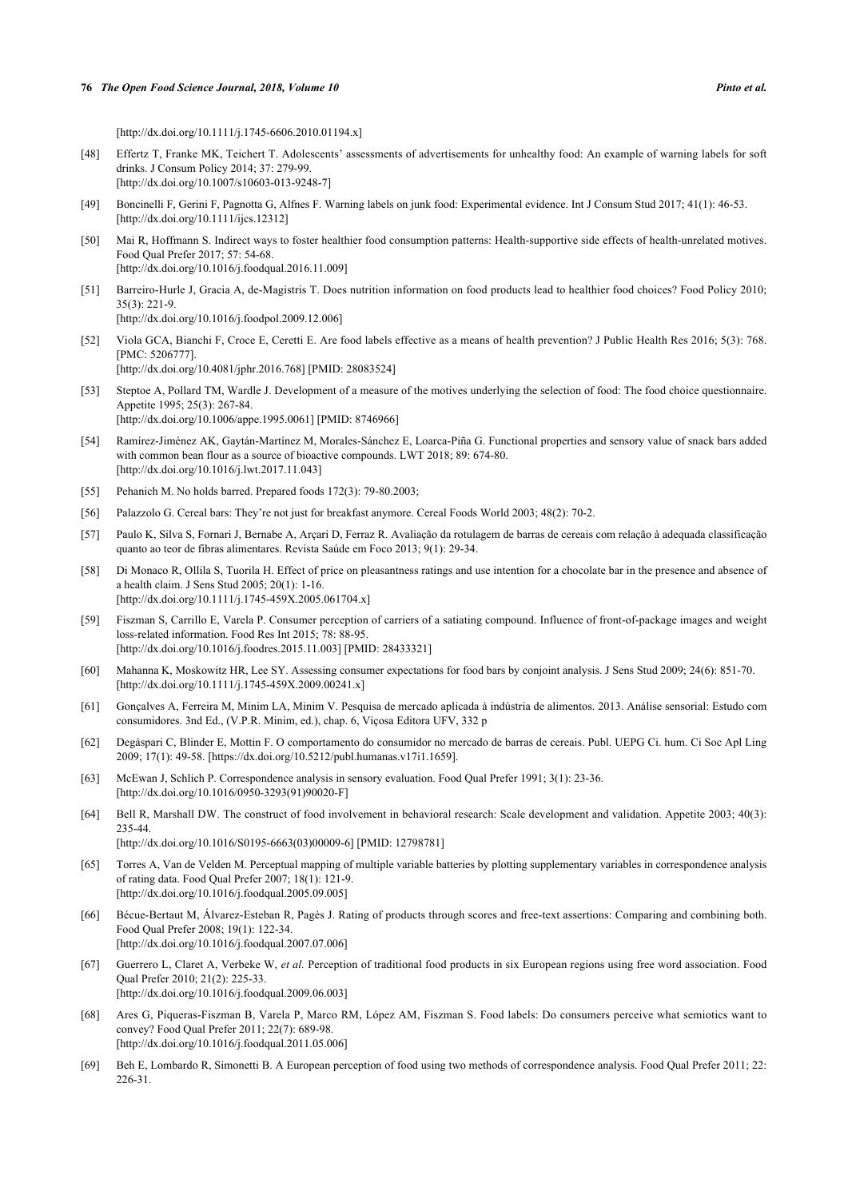[\[http://dx.doi.org/10.1111/j.1745-6606.2010.01194.x\]](http://dx.doi.org/10.1111/j.1745-6606.2010.01194.x)

- [48] Effertz T, Franke MK, Teichert T. Adolescents' assessments of advertisements for unhealthy food: An example of warning labels for soft drinks. J Consum Policy 2014; 37: 279-99. [\[http://dx.doi.org/10.1007/s10603-013-9248-7\]](http://dx.doi.org/10.1007/s10603-013-9248-7)
- <span id="page-14-0"></span>[49] Boncinelli F, Gerini F, Pagnotta G, Alfnes F. Warning labels on junk food: Experimental evidence. Int J Consum Stud 2017; 41(1): 46-53. [\[http://dx.doi.org/10.1111/ijcs.12312\]](http://dx.doi.org/10.1111/ijcs.12312)
- <span id="page-14-1"></span>[50] Mai R, Hoffmann S. Indirect ways to foster healthier food consumption patterns: Health-supportive side effects of health-unrelated motives. Food Qual Prefer 2017; 57: 54-68. [\[http://dx.doi.org/10.1016/j.foodqual.2016.11.009](http://dx.doi.org/10.1016/j.foodqual.2016.11.009)]
- [51] Barreiro-Hurle J, Gracia A, de-Magistris T. Does nutrition information on food products lead to healthier food choices? Food Policy 2010; 35(3): 221-9. [\[http://dx.doi.org/10.1016/j.foodpol.2009.12.006\]](http://dx.doi.org/10.1016/j.foodpol.2009.12.006)
- <span id="page-14-2"></span>[52] Viola GCA, Bianchi F, Croce E, Ceretti E. Are food labels effective as a means of health prevention? J Public Health Res 2016; 5(3): 768. [PMC: 5206777]. [\[http://dx.doi.org/10.4081/jphr.2016.768\]](http://dx.doi.org/10.4081/jphr.2016.768) [PMID: [28083524](http://www.ncbi.nlm.nih.gov/pubmed/28083524)]
- <span id="page-14-3"></span>[53] Steptoe A, Pollard TM, Wardle J. Development of a measure of the motives underlying the selection of food: The food choice questionnaire. Appetite 1995; 25(3): 267-84. [\[http://dx.doi.org/10.1006/appe.1995.0061\]](http://dx.doi.org/10.1006/appe.1995.0061) [PMID: [8746966](http://www.ncbi.nlm.nih.gov/pubmed/8746966)]
- <span id="page-14-4"></span>[54] Ramírez-Jiménez AK, Gaytán-Martínez M, Morales-Sánchez E, Loarca-Piña G. Functional properties and sensory value of snack bars added with common bean flour as a source of bioactive compounds. LWT 2018; 89: 674-80. [\[http://dx.doi.org/10.1016/j.lwt.2017.11.043](http://dx.doi.org/10.1016/j.lwt.2017.11.043)]
- <span id="page-14-5"></span>[55] Pehanich M. No holds barred. Prepared foods 172(3): 79-80.2003;
- <span id="page-14-6"></span>[56] Palazzolo G. Cereal bars: They're not just for breakfast anymore. Cereal Foods World 2003; 48(2): 70-2.
- <span id="page-14-7"></span>[57] Paulo K, Silva S, Fornari J, Bernabe A, Arçari D, Ferraz R. Avaliação da rotulagem de barras de cereais com relação à adequada classificação quanto ao teor de fibras alimentares. Revista Saúde em Foco 2013; 9(1): 29-34.
- <span id="page-14-8"></span>[58] Di Monaco R, Ollila S, Tuorila H. Effect of price on pleasantness ratings and use intention for a chocolate bar in the presence and absence of a health claim. J Sens Stud 2005; 20(1): 1-16. [\[http://dx.doi.org/10.1111/j.1745-459X.2005.061704.x](http://dx.doi.org/10.1111/j.1745-459X.2005.061704.x)]
- <span id="page-14-9"></span>[59] Fiszman S, Carrillo E, Varela P. Consumer perception of carriers of a satiating compound. Influence of front-of-package images and weight loss-related information. Food Res Int 2015; 78: 88-95. [\[http://dx.doi.org/10.1016/j.foodres.2015.11.003](http://dx.doi.org/10.1016/j.foodres.2015.11.003)] [PMID: [28433321\]](http://www.ncbi.nlm.nih.gov/pubmed/28433321)
- <span id="page-14-10"></span>[60] Mahanna K, Moskowitz HR, Lee SY. Assessing consumer expectations for food bars by conjoint analysis. J Sens Stud 2009; 24(6): 851-70. [\[http://dx.doi.org/10.1111/j.1745-459X.2009.00241.x](http://dx.doi.org/10.1111/j.1745-459X.2009.00241.x)]
- <span id="page-14-11"></span>[61] Gonçalves A, Ferreira M, Minim LA, Minim V. Pesquisa de mercado aplicada à indústria de alimentos. 2013. Análise sensorial: Estudo com consumidores. 3nd Ed., (V.P.R. Minim, ed.), chap. 6, Viçosa Editora UFV, 332 p
- <span id="page-14-12"></span>[62] Degáspari C, Blinder E, Mottin F. O comportamento do consumidor no mercado de barras de cereais. Publ. UEPG Ci. hum. Ci Soc Apl Ling 2009; 17(1): 49-58. [https://dx.doi.org/10.5212/publ.humanas.v17i1.1659].
- <span id="page-14-13"></span>[63] McEwan J, Schlich P. Correspondence analysis in sensory evaluation. Food Qual Prefer 1991; 3(1): 23-36. [\[http://dx.doi.org/10.1016/0950-3293\(91\)90020-F\]](http://dx.doi.org/10.1016/0950-3293(91)90020-F)
- <span id="page-14-14"></span>[64] Bell R, Marshall DW. The construct of food involvement in behavioral research: Scale development and validation. Appetite 2003; 40(3): 235-44. [\[http://dx.doi.org/10.1016/S0195-6663\(03\)00009-6\]](http://dx.doi.org/10.1016/S0195-6663(03)00009-6) [PMID: [12798781](http://www.ncbi.nlm.nih.gov/pubmed/12798781)]
- [65] Torres A, Van de Velden M. Perceptual mapping of multiple variable batteries by plotting supplementary variables in correspondence analysis of rating data. Food Qual Prefer 2007; 18(1): 121-9. [\[http://dx.doi.org/10.1016/j.foodqual.2005.09.005](http://dx.doi.org/10.1016/j.foodqual.2005.09.005)]
- [66] Bécue-Bertaut M, Álvarez-Esteban R, Pagès J. Rating of products through scores and free-text assertions: Comparing and combining both. Food Qual Prefer 2008; 19(1): 122-34. [\[http://dx.doi.org/10.1016/j.foodqual.2007.07.006](http://dx.doi.org/10.1016/j.foodqual.2007.07.006)]
- [67] Guerrero L, Claret A, Verbeke W, *et al.* Perception of traditional food products in six European regions using free word association. Food Qual Prefer 2010; 21(2): 225-33. [\[http://dx.doi.org/10.1016/j.foodqual.2009.06.003](http://dx.doi.org/10.1016/j.foodqual.2009.06.003)]
- [68] Ares G, Piqueras-Fiszman B, Varela P, Marco RM, López AM, Fiszman S. Food labels: Do consumers perceive what semiotics want to convey? Food Qual Prefer 2011; 22(7): 689-98. [\[http://dx.doi.org/10.1016/j.foodqual.2011.05.006](http://dx.doi.org/10.1016/j.foodqual.2011.05.006)]
- [69] Beh E, Lombardo R, Simonetti B. A European perception of food using two methods of correspondence analysis. Food Qual Prefer 2011; 22: 226-31.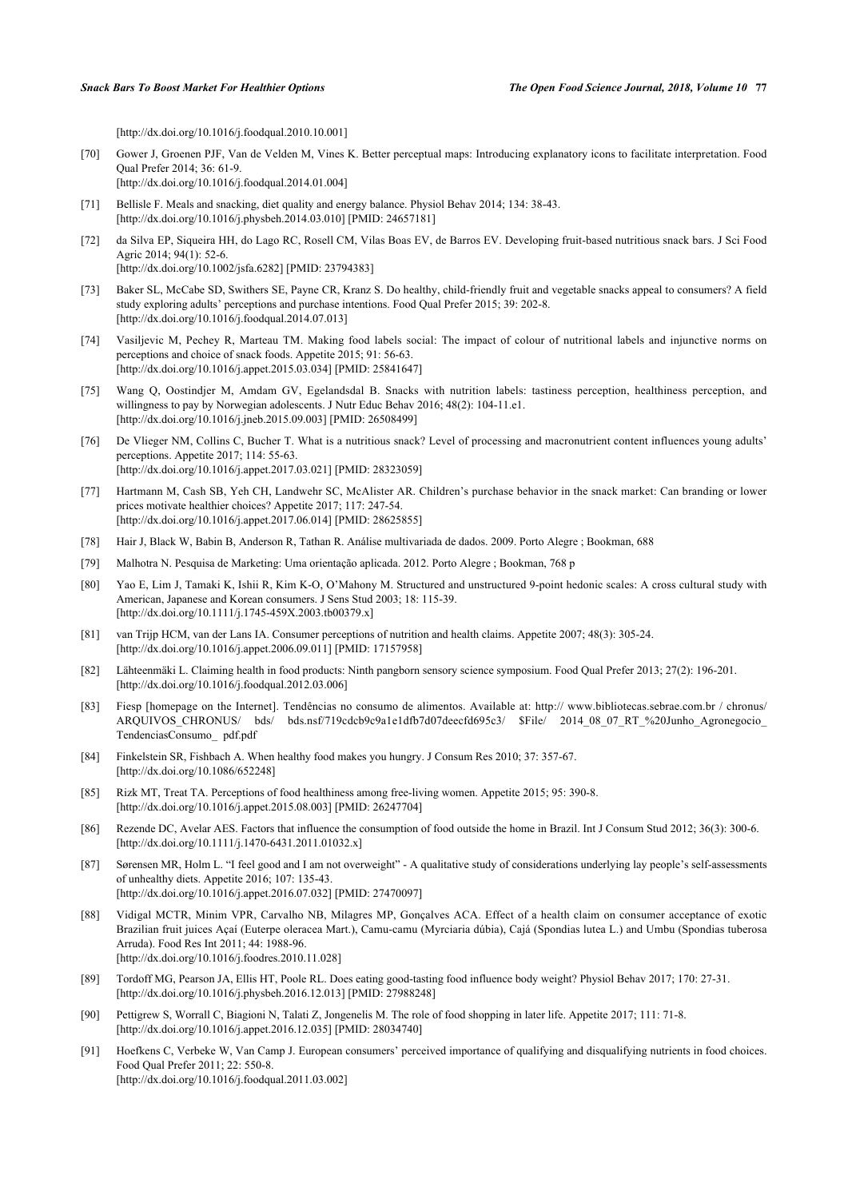[\[http://dx.doi.org/10.1016/j.foodqual.2010.10.001](http://dx.doi.org/10.1016/j.foodqual.2010.10.001)]

- <span id="page-15-0"></span>[70] Gower J, Groenen PJF, Van de Velden M, Vines K. Better perceptual maps: Introducing explanatory icons to facilitate interpretation. Food Qual Prefer 2014; 36: 61-9. [\[http://dx.doi.org/10.1016/j.foodqual.2014.01.004](http://dx.doi.org/10.1016/j.foodqual.2014.01.004)]
- <span id="page-15-1"></span>[71] Bellisle F. Meals and snacking, diet quality and energy balance. Physiol Behav 2014; 134: 38-43. [\[http://dx.doi.org/10.1016/j.physbeh.2014.03.010\]](http://dx.doi.org/10.1016/j.physbeh.2014.03.010) [PMID: [24657181](http://www.ncbi.nlm.nih.gov/pubmed/24657181)]
- [72] da Silva EP, Siqueira HH, do Lago RC, Rosell CM, Vilas Boas EV, de Barros EV. Developing fruit-based nutritious snack bars. J Sci Food Agric 2014; 94(1): 52-6. [\[http://dx.doi.org/10.1002/jsfa.6282](http://dx.doi.org/10.1002/jsfa.6282)] [PMID: [23794383\]](http://www.ncbi.nlm.nih.gov/pubmed/23794383)
- [73] Baker SL, McCabe SD, Swithers SE, Payne CR, Kranz S. Do healthy, child-friendly fruit and vegetable snacks appeal to consumers? A field study exploring adults' perceptions and purchase intentions. Food Qual Prefer 2015; 39: 202-8.
	- [\[http://dx.doi.org/10.1016/j.foodqual.2014.07.013](http://dx.doi.org/10.1016/j.foodqual.2014.07.013)]
- [74] Vasiljevic M, Pechey R, Marteau TM. Making food labels social: The impact of colour of nutritional labels and injunctive norms on perceptions and choice of snack foods. Appetite 2015; 91: 56-63. [\[http://dx.doi.org/10.1016/j.appet.2015.03.034](http://dx.doi.org/10.1016/j.appet.2015.03.034)] [PMID: [25841647\]](http://www.ncbi.nlm.nih.gov/pubmed/25841647)
- [75] Wang Q, Oostindjer M, Amdam GV, Egelandsdal B. Snacks with nutrition labels: tastiness perception, healthiness perception, and willingness to pay by Norwegian adolescents. J Nutr Educ Behav 2016; 48(2): 104-11.e1. [\[http://dx.doi.org/10.1016/j.jneb.2015.09.003\]](http://dx.doi.org/10.1016/j.jneb.2015.09.003) [PMID: [26508499](http://www.ncbi.nlm.nih.gov/pubmed/26508499)]
- [76] De Vlieger NM, Collins C, Bucher T. What is a nutritious snack? Level of processing and macronutrient content influences young adults' perceptions. Appetite 2017; 114: 55-63. [\[http://dx.doi.org/10.1016/j.appet.2017.03.021](http://dx.doi.org/10.1016/j.appet.2017.03.021)] [PMID: [28323059\]](http://www.ncbi.nlm.nih.gov/pubmed/28323059)
- <span id="page-15-2"></span>[77] Hartmann M, Cash SB, Yeh CH, Landwehr SC, McAlister AR. Children's purchase behavior in the snack market: Can branding or lower prices motivate healthier choices? Appetite 2017; 117: 247-54. [\[http://dx.doi.org/10.1016/j.appet.2017.06.014](http://dx.doi.org/10.1016/j.appet.2017.06.014)] [PMID: [28625855\]](http://www.ncbi.nlm.nih.gov/pubmed/28625855)
- <span id="page-15-3"></span>[78] Hair J, Black W, Babin B, Anderson R, Tathan R. Análise multivariada de dados. 2009. Porto Alegre ; Bookman, 688
- <span id="page-15-4"></span>[79] Malhotra N. Pesquisa de Marketing: Uma orientação aplicada. 2012. Porto Alegre ; Bookman, 768 p
- <span id="page-15-5"></span>[80] Yao E, Lim J, Tamaki K, Ishii R, Kim K-O, O'Mahony M. Structured and unstructured 9-point hedonic scales: A cross cultural study with American, Japanese and Korean consumers. J Sens Stud 2003; 18: 115-39. [\[http://dx.doi.org/10.1111/j.1745-459X.2003.tb00379.x\]](http://dx.doi.org/10.1111/j.1745-459X.2003.tb00379.x)
- <span id="page-15-6"></span>[81] van Trijp HCM, van der Lans IA. Consumer perceptions of nutrition and health claims. Appetite 2007; 48(3): 305-24. [\[http://dx.doi.org/10.1016/j.appet.2006.09.011](http://dx.doi.org/10.1016/j.appet.2006.09.011)] [PMID: [17157958\]](http://www.ncbi.nlm.nih.gov/pubmed/17157958)
- <span id="page-15-7"></span>[82] Lähteenmäki L. Claiming health in food products: Ninth pangborn sensory science symposium. Food Qual Prefer 2013; 27(2): 196-201. [\[http://dx.doi.org/10.1016/j.foodqual.2012.03.006](http://dx.doi.org/10.1016/j.foodqual.2012.03.006)]
- <span id="page-15-8"></span>[83] Fiesp [homepage on the Internet]. Tendências no consumo de alimentos. Available at: [http:// www.bibliotecas.sebrae.com.br / chronus/](http://www.bibliotecas.sebrae.com.br/chronus/ARQUIVOS_CHRONUS/bds/bds.nsf/719cdcb9c9a1e1dfb7d07deecfd695c3/%24File/2014_08_07_RT_%20Junho_Agronegocio_TendenciasConsumo_pdf.pdf) ARQUIVOS CHRONUS/ bds/ bds.nsf/719cdcb9c9a1e1dfb7d07deecfd695c3/ \$File/ 2014 08 07 RT %20Junho Agronegocio [TendenciasConsumo\\_ pdf.pdf](http://www.bibliotecas.sebrae.com.br/chronus/ARQUIVOS_CHRONUS/bds/bds.nsf/719cdcb9c9a1e1dfb7d07deecfd695c3/%24File/2014_08_07_RT_%20Junho_Agronegocio_TendenciasConsumo_pdf.pdf)
- <span id="page-15-9"></span>[84] Finkelstein SR, Fishbach A. When healthy food makes you hungry. J Consum Res 2010; 37: 357-67. [\[http://dx.doi.org/10.1086/652248\]](http://dx.doi.org/10.1086/652248)
- <span id="page-15-10"></span>[85] Rizk MT, Treat TA. Perceptions of food healthiness among free-living women. Appetite 2015; 95: 390-8. [\[http://dx.doi.org/10.1016/j.appet.2015.08.003](http://dx.doi.org/10.1016/j.appet.2015.08.003)] [PMID: [26247704\]](http://www.ncbi.nlm.nih.gov/pubmed/26247704)
- <span id="page-15-11"></span>[86] Rezende DC, Avelar AES. Factors that influence the consumption of food outside the home in Brazil. Int J Consum Stud 2012; 36(3): 300-6. [\[http://dx.doi.org/10.1111/j.1470-6431.2011.01032.x\]](http://dx.doi.org/10.1111/j.1470-6431.2011.01032.x)
- <span id="page-15-12"></span>[87] Sørensen MR, Holm L. "I feel good and I am not overweight" - A qualitative study of considerations underlying lay people's self-assessments of unhealthy diets. Appetite 2016; 107: 135-43. [\[http://dx.doi.org/10.1016/j.appet.2016.07.032](http://dx.doi.org/10.1016/j.appet.2016.07.032)] [PMID: [27470097\]](http://www.ncbi.nlm.nih.gov/pubmed/27470097)
- <span id="page-15-13"></span>[88] Vidigal MCTR, Minim VPR, Carvalho NB, Milagres MP, Gonçalves ACA. Effect of a health claim on consumer acceptance of exotic Brazilian fruit juices Açaí (Euterpe oleracea Mart.), Camu-camu (Myrciaria dúbia), Cajá (Spondias lutea L.) and Umbu (Spondias tuberosa Arruda). Food Res Int 2011; 44: 1988-96. [\[http://dx.doi.org/10.1016/j.foodres.2010.11.028](http://dx.doi.org/10.1016/j.foodres.2010.11.028)]
- <span id="page-15-14"></span>[89] Tordoff MG, Pearson JA, Ellis HT, Poole RL. Does eating good-tasting food influence body weight? Physiol Behav 2017; 170: 27-31. [\[http://dx.doi.org/10.1016/j.physbeh.2016.12.013\]](http://dx.doi.org/10.1016/j.physbeh.2016.12.013) [PMID: [27988248](http://www.ncbi.nlm.nih.gov/pubmed/27988248)]
- <span id="page-15-15"></span>[90] Pettigrew S, Worrall C, Biagioni N, Talati Z, Jongenelis M. The role of food shopping in later life. Appetite 2017; 111: 71-8. [\[http://dx.doi.org/10.1016/j.appet.2016.12.035](http://dx.doi.org/10.1016/j.appet.2016.12.035)] [PMID: [28034740\]](http://www.ncbi.nlm.nih.gov/pubmed/28034740)
- <span id="page-15-16"></span>[91] Hoefkens C, Verbeke W, Van Camp J. European consumers' perceived importance of qualifying and disqualifying nutrients in food choices. Food Qual Prefer 2011; 22: 550-8. [\[http://dx.doi.org/10.1016/j.foodqual.2011.03.002](http://dx.doi.org/10.1016/j.foodqual.2011.03.002)]